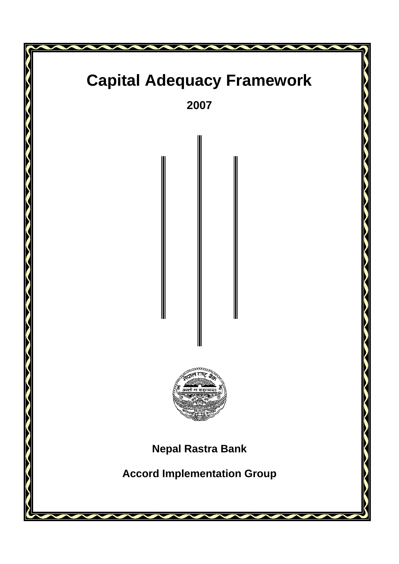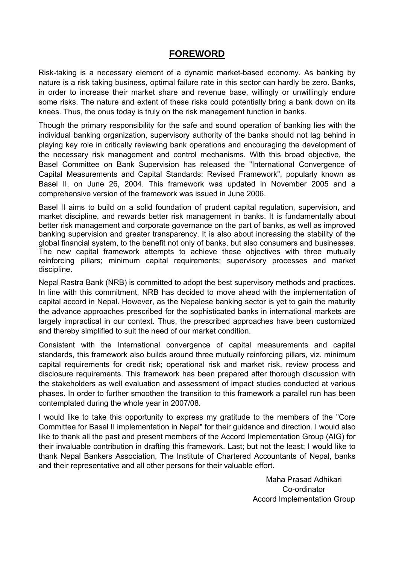# **FOREWORD**

Risk-taking is a necessary element of a dynamic market-based economy. As banking by nature is a risk taking business, optimal failure rate in this sector can hardly be zero. Banks, in order to increase their market share and revenue base, willingly or unwillingly endure some risks. The nature and extent of these risks could potentially bring a bank down on its knees. Thus, the onus today is truly on the risk management function in banks.

Though the primary responsibility for the safe and sound operation of banking lies with the individual banking organization, supervisory authority of the banks should not lag behind in playing key role in critically reviewing bank operations and encouraging the development of the necessary risk management and control mechanisms. With this broad objective, the Basel Committee on Bank Supervision has released the "International Convergence of Capital Measurements and Capital Standards: Revised Framework", popularly known as Basel II, on June 26, 2004. This framework was updated in November 2005 and a comprehensive version of the framework was issued in June 2006.

Basel II aims to build on a solid foundation of prudent capital regulation, supervision, and market discipline, and rewards better risk management in banks. It is fundamentally about better risk management and corporate governance on the part of banks, as well as improved banking supervision and greater transparency. It is also about increasing the stability of the global financial system, to the benefit not only of banks, but also consumers and businesses. The new capital framework attempts to achieve these objectives with three mutually reinforcing pillars; minimum capital requirements; supervisory processes and market discipline.

Nepal Rastra Bank (NRB) is committed to adopt the best supervisory methods and practices. In line with this commitment, NRB has decided to move ahead with the implementation of capital accord in Nepal. However, as the Nepalese banking sector is yet to gain the maturity the advance approaches prescribed for the sophisticated banks in international markets are largely impractical in our context. Thus, the prescribed approaches have been customized and thereby simplified to suit the need of our market condition.

Consistent with the International convergence of capital measurements and capital standards, this framework also builds around three mutually reinforcing pillars, viz. minimum capital requirements for credit risk; operational risk and market risk, review process and disclosure requirements. This framework has been prepared after thorough discussion with the stakeholders as well evaluation and assessment of impact studies conducted at various phases. In order to further smoothen the transition to this framework a parallel run has been contemplated during the whole year in 2007/08.

I would like to take this opportunity to express my gratitude to the members of the "Core Committee for Basel II implementation in Nepal" for their guidance and direction. I would also like to thank all the past and present members of the Accord Implementation Group (AIG) for their invaluable contribution in drafting this framework. Last; but not the least; I would like to thank Nepal Bankers Association, The Institute of Chartered Accountants of Nepal, banks and their representative and all other persons for their valuable effort.

> Maha Prasad Adhikari Co-ordinator Accord Implementation Group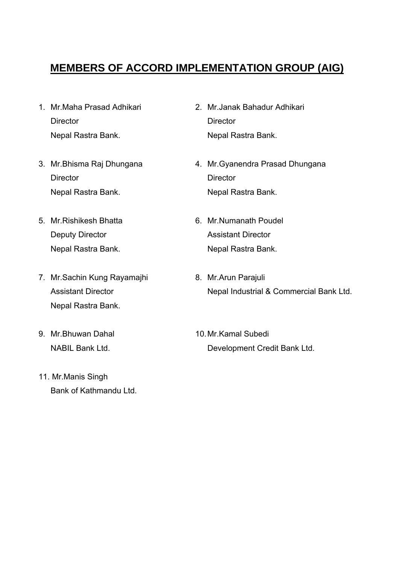# **MEMBERS OF ACCORD IMPLEMENTATION GROUP (AIG)**

- Director Director Nepal Rastra Bank. Nepal Rastra Bank.
- Director Director Nepal Rastra Bank. Nepal Rastra Bank.
- 5. Mr.Rishikesh Bhatta 6. Mr.Numanath Poudel
- 7. Mr. Sachin Kung Rayamajhi 8. Mr. Arun Parajuli Nepal Rastra Bank.
- 9. Mr. Bhuwan Dahal 10. Mr. Kamal Subedi
- 11. Mr.Manis Singh Bank of Kathmandu Ltd.
- 1. Mr.Maha Prasad Adhikari 2. Mr.Janak Bahadur Adhikari
- 3. Mr. Bhisma Raj Dhungana **4. Mr. Gyanendra Prasad Dhungana** 
	- **Deputy Director Contracts Assistant Director** Nepal Rastra Bank. Nepal Rastra Bank.
	- Assistant Director **Nepal Industrial & Commercial Bank Ltd.**
	- NABIL Bank Ltd. Development Credit Bank Ltd.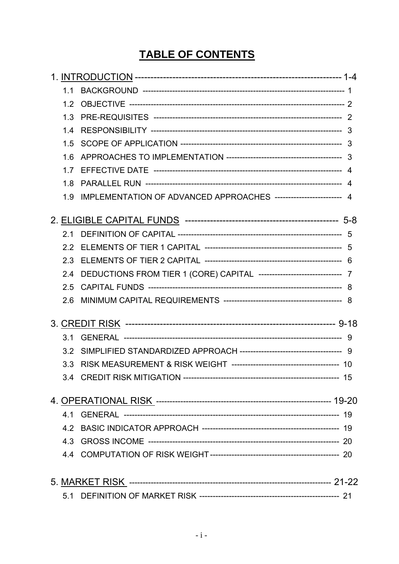# **TABLE OF CONTENTS**

| 1.1 |                                                                         |  |
|-----|-------------------------------------------------------------------------|--|
| 1.2 |                                                                         |  |
| 1.3 |                                                                         |  |
| 1.4 |                                                                         |  |
| 1.5 |                                                                         |  |
| 1.6 |                                                                         |  |
| 1.7 |                                                                         |  |
| 1.8 |                                                                         |  |
| 1.9 | IMPLEMENTATION OF ADVANCED APPROACHES ------------------------   4      |  |
|     |                                                                         |  |
| 2.1 |                                                                         |  |
|     |                                                                         |  |
| 2.3 |                                                                         |  |
| 2.4 | DEDUCTIONS FROM TIER 1 (CORE) CAPITAL ------------------------------- 7 |  |
| 2.5 |                                                                         |  |
| 2.6 |                                                                         |  |
|     |                                                                         |  |
| 3.1 |                                                                         |  |
| 3.2 |                                                                         |  |
| 3.3 |                                                                         |  |
|     |                                                                         |  |
|     |                                                                         |  |
| 4.1 |                                                                         |  |
| 4.2 |                                                                         |  |
| 4.3 |                                                                         |  |
|     |                                                                         |  |
|     |                                                                         |  |
|     |                                                                         |  |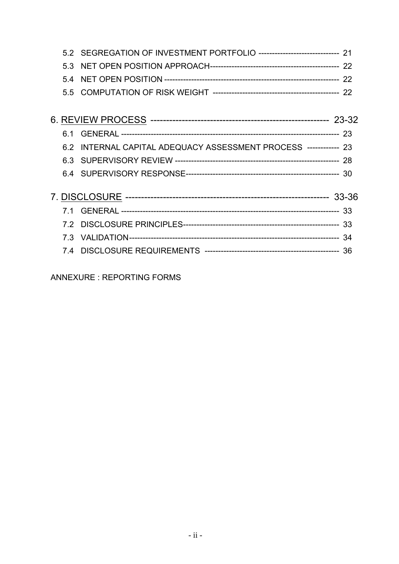|  | 5.2 SEGREGATION OF INVESTMENT PORTFOLIO ------------------------------ 21 |  |
|--|---------------------------------------------------------------------------|--|
|  |                                                                           |  |
|  |                                                                           |  |
|  |                                                                           |  |

|  | 6.2 INTERNAL CAPITAL ADEQUACY ASSESSMENT PROCESS ------------ 23 |  |
|--|------------------------------------------------------------------|--|
|  |                                                                  |  |
|  |                                                                  |  |
|  |                                                                  |  |
|  |                                                                  |  |
|  |                                                                  |  |
|  |                                                                  |  |

| 7.4 DISCLOSURE REQUIREMENTS |  |
|-----------------------------|--|

# **ANNEXURE : REPORTING FORMS**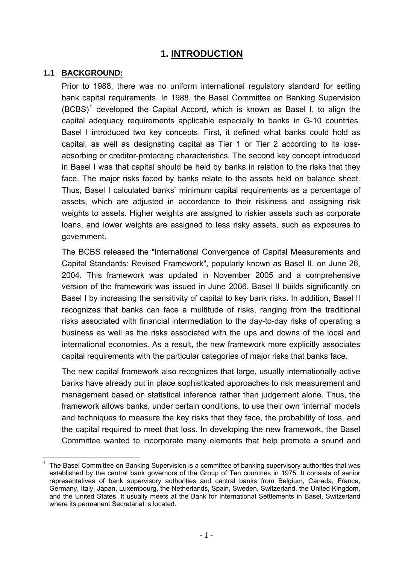# **1. INTRODUCTION**

### **1.1 BACKGROUND:**

 $\overline{a}$ 

Prior to 1988, there was no uniform international regulatory standard for setting bank capital requirements. In 1988, the Basel Committee on Banking Supervision  $(BCBS)^1$  $(BCBS)^1$  developed the Capital Accord, which is known as Basel I, to align the capital adequacy requirements applicable especially to banks in G-10 countries. Basel I introduced two key concepts. First, it defined what banks could hold as capital, as well as designating capital as Tier 1 or Tier 2 according to its lossabsorbing or creditor-protecting characteristics. The second key concept introduced in Basel I was that capital should be held by banks in relation to the risks that they face. The major risks faced by banks relate to the assets held on balance sheet. Thus, Basel I calculated banks' minimum capital requirements as a percentage of assets, which are adjusted in accordance to their riskiness and assigning risk weights to assets. Higher weights are assigned to riskier assets such as corporate loans, and lower weights are assigned to less risky assets, such as exposures to government.

The BCBS released the "International Convergence of Capital Measurements and Capital Standards: Revised Framework", popularly known as Basel II, on June 26, 2004. This framework was updated in November 2005 and a comprehensive version of the framework was issued in June 2006. Basel II builds significantly on Basel I by increasing the sensitivity of capital to key bank risks. In addition, Basel II recognizes that banks can face a multitude of risks, ranging from the traditional risks associated with financial intermediation to the day-to-day risks of operating a business as well as the risks associated with the ups and downs of the local and international economies. As a result, the new framework more explicitly associates capital requirements with the particular categories of major risks that banks face.

The new capital framework also recognizes that large, usually internationally active banks have already put in place sophisticated approaches to risk measurement and management based on statistical inference rather than judgement alone. Thus, the framework allows banks, under certain conditions, to use their own 'internal' models and techniques to measure the key risks that they face, the probability of loss, and the capital required to meet that loss. In developing the new framework, the Basel Committee wanted to incorporate many elements that help promote a sound and

<span id="page-5-0"></span><sup>1</sup> The Basel Committee on Banking Supervision is a committee of banking supervisory authorities that was established by the central bank governors of the Group of Ten countries in 1975. It consists of senior representatives of bank supervisory authorities and central banks from Belgium, Canada, France, Germany, Italy, Japan, Luxembourg, the Netherlands, Spain, Sweden, Switzerland, the United Kingdom, and the United States. It usually meets at the Bank for International Settlements in Basel, Switzerland where its permanent Secretariat is located.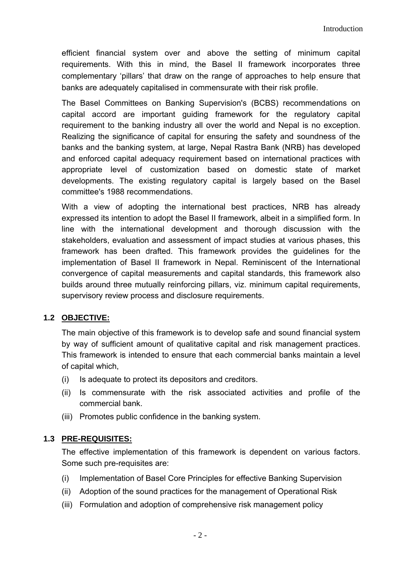Introduction

efficient financial system over and above the setting of minimum capital requirements. With this in mind, the Basel II framework incorporates three complementary 'pillars' that draw on the range of approaches to help ensure that banks are adequately capitalised in commensurate with their risk profile.

The Basel Committees on Banking Supervision's (BCBS) recommendations on capital accord are important guiding framework for the regulatory capital requirement to the banking industry all over the world and Nepal is no exception. Realizing the significance of capital for ensuring the safety and soundness of the banks and the banking system, at large, Nepal Rastra Bank (NRB) has developed and enforced capital adequacy requirement based on international practices with appropriate level of customization based on domestic state of market developments. The existing regulatory capital is largely based on the Basel committee's 1988 recommendations.

With a view of adopting the international best practices, NRB has already expressed its intention to adopt the Basel II framework, albeit in a simplified form. In line with the international development and thorough discussion with the stakeholders, evaluation and assessment of impact studies at various phases, this framework has been drafted. This framework provides the guidelines for the implementation of Basel II framework in Nepal. Reminiscent of the International convergence of capital measurements and capital standards, this framework also builds around three mutually reinforcing pillars, viz. minimum capital requirements, supervisory review process and disclosure requirements.

### **1.2 OBJECTIVE:**

The main objective of this framework is to develop safe and sound financial system by way of sufficient amount of qualitative capital and risk management practices. This framework is intended to ensure that each commercial banks maintain a level of capital which,

- (i) Is adequate to protect its depositors and creditors.
- (ii) Is commensurate with the risk associated activities and profile of the commercial bank.
- (iii) Promotes public confidence in the banking system.

### **1.3 PRE-REQUISITES:**

The effective implementation of this framework is dependent on various factors. Some such pre-requisites are:

- (i) Implementation of Basel Core Principles for effective Banking Supervision
- (ii) Adoption of the sound practices for the management of Operational Risk
- (iii) Formulation and adoption of comprehensive risk management policy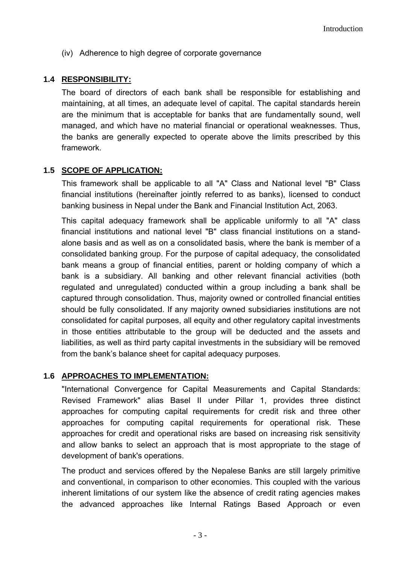(iv) Adherence to high degree of corporate governance

### **1.4 RESPONSIBILITY:**

The board of directors of each bank shall be responsible for establishing and maintaining, at all times, an adequate level of capital. The capital standards herein are the minimum that is acceptable for banks that are fundamentally sound, well managed, and which have no material financial or operational weaknesses. Thus, the banks are generally expected to operate above the limits prescribed by this framework.

### **1.5 SCOPE OF APPLICATION:**

This framework shall be applicable to all "A" Class and National level "B" Class financial institutions (hereinafter jointly referred to as banks), licensed to conduct banking business in Nepal under the Bank and Financial Institution Act, 2063.

This capital adequacy framework shall be applicable uniformly to all "A" class financial institutions and national level "B" class financial institutions on a standalone basis and as well as on a consolidated basis, where the bank is member of a consolidated banking group. For the purpose of capital adequacy, the consolidated bank means a group of financial entities, parent or holding company of which a bank is a subsidiary. All banking and other relevant financial activities (both regulated and unregulated) conducted within a group including a bank shall be captured through consolidation. Thus, majority owned or controlled financial entities should be fully consolidated. If any majority owned subsidiaries institutions are not consolidated for capital purposes, all equity and other regulatory capital investments in those entities attributable to the group will be deducted and the assets and liabilities, as well as third party capital investments in the subsidiary will be removed from the bank's balance sheet for capital adequacy purposes.

# **1.6 APPROACHES TO IMPLEMENTATION:**

"International Convergence for Capital Measurements and Capital Standards: Revised Framework" alias Basel II under Pillar 1, provides three distinct approaches for computing capital requirements for credit risk and three other approaches for computing capital requirements for operational risk. These approaches for credit and operational risks are based on increasing risk sensitivity and allow banks to select an approach that is most appropriate to the stage of development of bank's operations.

The product and services offered by the Nepalese Banks are still largely primitive and conventional, in comparison to other economies. This coupled with the various inherent limitations of our system like the absence of credit rating agencies makes the advanced approaches like Internal Ratings Based Approach or even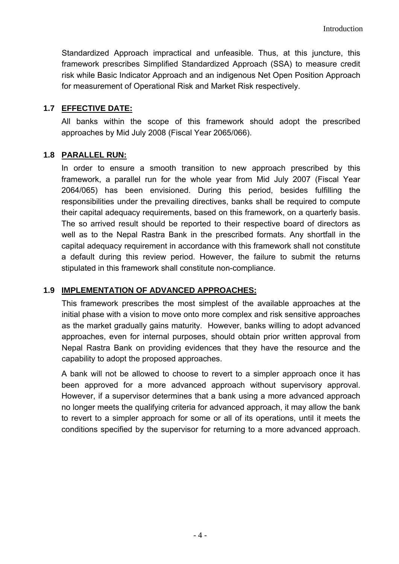Standardized Approach impractical and unfeasible. Thus, at this juncture, this framework prescribes Simplified Standardized Approach (SSA) to measure credit risk while Basic Indicator Approach and an indigenous Net Open Position Approach for measurement of Operational Risk and Market Risk respectively.

### **1.7 EFFECTIVE DATE:**

All banks within the scope of this framework should adopt the prescribed approaches by Mid July 2008 (Fiscal Year 2065/066).

### **1.8 PARALLEL RUN:**

In order to ensure a smooth transition to new approach prescribed by this framework, a parallel run for the whole year from Mid July 2007 (Fiscal Year 2064/065) has been envisioned. During this period, besides fulfilling the responsibilities under the prevailing directives, banks shall be required to compute their capital adequacy requirements, based on this framework, on a quarterly basis. The so arrived result should be reported to their respective board of directors as well as to the Nepal Rastra Bank in the prescribed formats. Any shortfall in the capital adequacy requirement in accordance with this framework shall not constitute a default during this review period. However, the failure to submit the returns stipulated in this framework shall constitute non-compliance.

### **1.9 IMPLEMENTATION OF ADVANCED APPROACHES:**

This framework prescribes the most simplest of the available approaches at the initial phase with a vision to move onto more complex and risk sensitive approaches as the market gradually gains maturity. However, banks willing to adopt advanced approaches, even for internal purposes, should obtain prior written approval from Nepal Rastra Bank on providing evidences that they have the resource and the capability to adopt the proposed approaches.

A bank will not be allowed to choose to revert to a simpler approach once it has been approved for a more advanced approach without supervisory approval. However, if a supervisor determines that a bank using a more advanced approach no longer meets the qualifying criteria for advanced approach, it may allow the bank to revert to a simpler approach for some or all of its operations, until it meets the conditions specified by the supervisor for returning to a more advanced approach.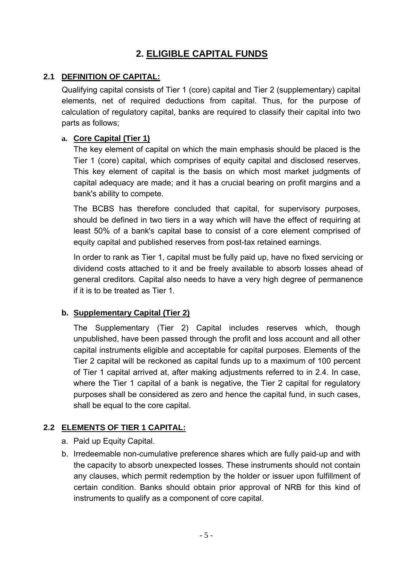# **2. ELIGIBLE CAPITAL FUNDS**

# **2.1 DEFINITION OF CAPITAL:**

Qualifying capital consists of Tier 1 (core) capital and Tier 2 (supplementary) capital elements, net of required deductions from capital. Thus, for the purpose of calculation of regulatory capital, banks are required to classify their capital into two parts as follows;

### **a. Core Capital (Tier 1)**

 The key element of capital on which the main emphasis should be placed is the Tier 1 (core) capital, which comprises of equity capital and disclosed reserves. This key element of capital is the basis on which most market judgments of capital adequacy are made; and it has a crucial bearing on profit margins and a bank's ability to compete.

 The BCBS has therefore concluded that capital, for supervisory purposes, should be defined in two tiers in a way which will have the effect of requiring at least 50% of a bank's capital base to consist of a core element comprised of equity capital and published reserves from post-tax retained earnings.

 In order to rank as Tier 1, capital must be fully paid up, have no fixed servicing or dividend costs attached to it and be freely available to absorb losses ahead of general creditors. Capital also needs to have a very high degree of permanence if it is to be treated as Tier 1.

### **b. Supplementary Capital (Tier 2)**

 The Supplementary (Tier 2) Capital includes reserves which, though unpublished, have been passed through the profit and loss account and all other capital instruments eligible and acceptable for capital purposes. Elements of the Tier 2 capital will be reckoned as capital funds up to a maximum of 100 percent of Tier 1 capital arrived at, after making adjustments referred to in 2.4. In case, where the Tier 1 capital of a bank is negative, the Tier 2 capital for regulatory purposes shall be considered as zero and hence the capital fund, in such cases, shall be equal to the core capital.

# **2.2 ELEMENTS OF TIER 1 CAPITAL:**

- a. Paid up Equity Capital.
- b. Irredeemable non-cumulative preference shares which are fully paid-up and with the capacity to absorb unexpected losses. These instruments should not contain any clauses, which permit redemption by the holder or issuer upon fulfillment of certain condition. Banks should obtain prior approval of NRB for this kind of instruments to qualify as a component of core capital.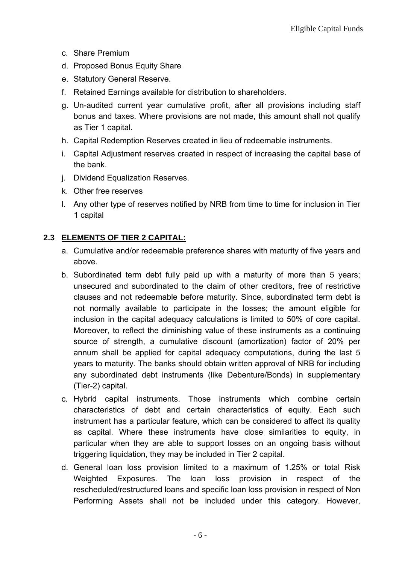- c. Share Premium
- d. Proposed Bonus Equity Share
- e. Statutory General Reserve.
- f. Retained Earnings available for distribution to shareholders.
- g. Un-audited current year cumulative profit, after all provisions including staff bonus and taxes. Where provisions are not made, this amount shall not qualify as Tier 1 capital.
- h. Capital Redemption Reserves created in lieu of redeemable instruments.
- i. Capital Adjustment reserves created in respect of increasing the capital base of the bank.
- j. Dividend Equalization Reserves.
- k. Other free reserves
- l. Any other type of reserves notified by NRB from time to time for inclusion in Tier 1 capital

# **2.3 ELEMENTS OF TIER 2 CAPITAL:**

- a. Cumulative and/or redeemable preference shares with maturity of five years and above.
- b. Subordinated term debt fully paid up with a maturity of more than 5 years; unsecured and subordinated to the claim of other creditors, free of restrictive clauses and not redeemable before maturity. Since, subordinated term debt is not normally available to participate in the losses; the amount eligible for inclusion in the capital adequacy calculations is limited to 50% of core capital. Moreover, to reflect the diminishing value of these instruments as a continuing source of strength, a cumulative discount (amortization) factor of 20% per annum shall be applied for capital adequacy computations, during the last 5 years to maturity. The banks should obtain written approval of NRB for including any subordinated debt instruments (like Debenture/Bonds) in supplementary (Tier-2) capital.
- c. Hybrid capital instruments. Those instruments which combine certain characteristics of debt and certain characteristics of equity. Each such instrument has a particular feature, which can be considered to affect its quality as capital. Where these instruments have close similarities to equity, in particular when they are able to support losses on an ongoing basis without triggering liquidation, they may be included in Tier 2 capital.
- d. General loan loss provision limited to a maximum of 1.25% or total Risk Weighted Exposures. The loan loss provision in respect of the rescheduled/restructured loans and specific loan loss provision in respect of Non Performing Assets shall not be included under this category. However,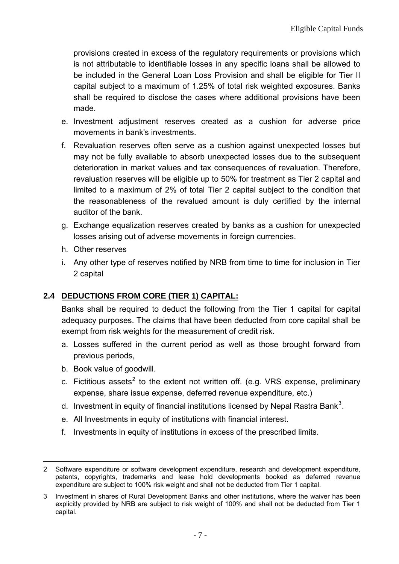provisions created in excess of the regulatory requirements or provisions which is not attributable to identifiable losses in any specific loans shall be allowed to be included in the General Loan Loss Provision and shall be eligible for Tier II capital subject to a maximum of 1.25% of total risk weighted exposures. Banks shall be required to disclose the cases where additional provisions have been made.

- e. Investment adjustment reserves created as a cushion for adverse price movements in bank's investments.
- f. Revaluation reserves often serve as a cushion against unexpected losses but may not be fully available to absorb unexpected losses due to the subsequent deterioration in market values and tax consequences of revaluation. Therefore, revaluation reserves will be eligible up to 50% for treatment as Tier 2 capital and limited to a maximum of 2% of total Tier 2 capital subject to the condition that the reasonableness of the revalued amount is duly certified by the internal auditor of the bank.
- g. Exchange equalization reserves created by banks as a cushion for unexpected losses arising out of adverse movements in foreign currencies.
- h. Other reserves
- i. Any other type of reserves notified by NRB from time to time for inclusion in Tier 2 capital

# **2.4 DEDUCTIONS FROM CORE (TIER 1) CAPITAL:**

Banks shall be required to deduct the following from the Tier 1 capital for capital adequacy purposes. The claims that have been deducted from core capital shall be exempt from risk weights for the measurement of credit risk.

- a. Losses suffered in the current period as well as those brought forward from previous periods,
- b. Book value of goodwill.
- c. Fictitious assets<sup>[2](#page-11-0)</sup> to the extent not written off. (e.g. VRS expense, preliminary expense, share issue expense, deferred revenue expenditure, etc.)
- d. Investment in equity of financial institutions licensed by Nepal Rastra Bank<sup>[3](#page-11-1)</sup>.
- e. All Investments in equity of institutions with financial interest.
- f. Investments in equity of institutions in excess of the prescribed limits.

<span id="page-11-0"></span> $\overline{a}$ 2 Software expenditure or software development expenditure, research and development expenditure, patents, copyrights, trademarks and lease hold developments booked as deferred revenue expenditure are subject to 100% risk weight and shall not be deducted from Tier 1 capital.

<span id="page-11-1"></span><sup>3</sup> Investment in shares of Rural Development Banks and other institutions, where the waiver has been explicitly provided by NRB are subject to risk weight of 100% and shall not be deducted from Tier 1 capital.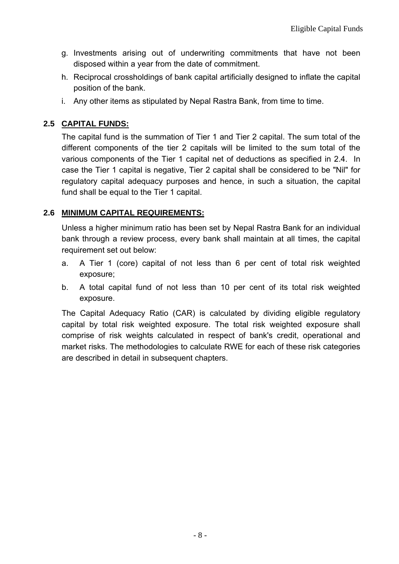- g. Investments arising out of underwriting commitments that have not been disposed within a year from the date of commitment.
- h. Reciprocal crossholdings of bank capital artificially designed to inflate the capital position of the bank.
- i. Any other items as stipulated by Nepal Rastra Bank, from time to time.

# **2.5 CAPITAL FUNDS:**

The capital fund is the summation of Tier 1 and Tier 2 capital. The sum total of the different components of the tier 2 capitals will be limited to the sum total of the various components of the Tier 1 capital net of deductions as specified in 2.4. In case the Tier 1 capital is negative, Tier 2 capital shall be considered to be "Nil" for regulatory capital adequacy purposes and hence, in such a situation, the capital fund shall be equal to the Tier 1 capital.

### **2.6 MINIMUM CAPITAL REQUIREMENTS:**

Unless a higher minimum ratio has been set by Nepal Rastra Bank for an individual bank through a review process, every bank shall maintain at all times, the capital requirement set out below:

- a. A Tier 1 (core) capital of not less than 6 per cent of total risk weighted exposure;
- b. A total capital fund of not less than 10 per cent of its total risk weighted exposure.

The Capital Adequacy Ratio (CAR) is calculated by dividing eligible regulatory capital by total risk weighted exposure. The total risk weighted exposure shall comprise of risk weights calculated in respect of bank's credit, operational and market risks. The methodologies to calculate RWE for each of these risk categories are described in detail in subsequent chapters.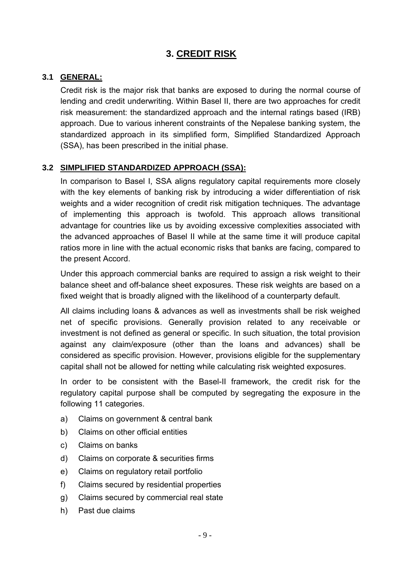# **3. CREDIT RISK**

### **3.1 GENERAL:**

Credit risk is the major risk that banks are exposed to during the normal course of lending and credit underwriting. Within Basel II, there are two approaches for credit risk measurement: the standardized approach and the internal ratings based (IRB) approach. Due to various inherent constraints of the Nepalese banking system, the standardized approach in its simplified form, Simplified Standardized Approach (SSA), has been prescribed in the initial phase.

### **3.2 SIMPLIFIED STANDARDIZED APPROACH (SSA):**

In comparison to Basel I, SSA aligns regulatory capital requirements more closely with the key elements of banking risk by introducing a wider differentiation of risk weights and a wider recognition of credit risk mitigation techniques. The advantage of implementing this approach is twofold. This approach allows transitional advantage for countries like us by avoiding excessive complexities associated with the advanced approaches of Basel II while at the same time it will produce capital ratios more in line with the actual economic risks that banks are facing, compared to the present Accord.

Under this approach commercial banks are required to assign a risk weight to their balance sheet and off-balance sheet exposures. These risk weights are based on a fixed weight that is broadly aligned with the likelihood of a counterparty default.

All claims including loans & advances as well as investments shall be risk weighed net of specific provisions. Generally provision related to any receivable or investment is not defined as general or specific. In such situation, the total provision against any claim/exposure (other than the loans and advances) shall be considered as specific provision. However, provisions eligible for the supplementary capital shall not be allowed for netting while calculating risk weighted exposures.

In order to be consistent with the Basel-II framework, the credit risk for the regulatory capital purpose shall be computed by segregating the exposure in the following 11 categories.

- a) Claims on government & central bank
- b) Claims on other official entities
- c) Claims on banks
- d) Claims on corporate & securities firms
- e) Claims on regulatory retail portfolio
- f) Claims secured by residential properties
- g) Claims secured by commercial real state
- h) Past due claims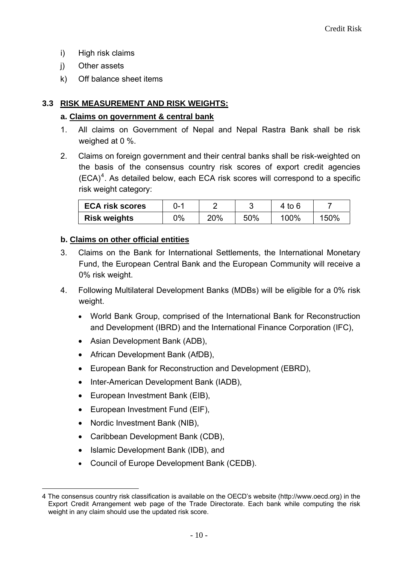- <span id="page-14-0"></span>i) High risk claims
- j) Other assets
- k) Off balance sheet items

### **3.3 RISK MEASUREMENT AND RISK WEIGHTS:**

### **a. Claims on government & central bank**

- 1. All claims on Government of Nepal and Nepal Rastra Bank shall be risk weighed at 0 %.
- 2. Claims on foreign government and their central banks shall be risk-weighted on the basis of the consensus country risk scores of export credit agencies  $(ECA)<sup>4</sup>$  $(ECA)<sup>4</sup>$  $(ECA)<sup>4</sup>$ . As detailed below, each ECA risk scores will correspond to a specific risk weight category:

| <b>ECA risk scores</b> | $\mathbf{L}$ |     |     | 4 to 6 |      |
|------------------------|--------------|-----|-----|--------|------|
| <b>Risk weights</b>    | ገ%           | 20% | 50% | 100%   | 150% |

### **b. Claims on other official entities**

- 3. Claims on the Bank for International Settlements, the International Monetary Fund, the European Central Bank and the European Community will receive a 0% risk weight.
- 4. Following Multilateral Development Banks (MDBs) will be eligible for a 0% risk weight.
	- World Bank Group, comprised of the International Bank for Reconstruction and Development (IBRD) and the International Finance Corporation (IFC),
	- Asian Development Bank (ADB),
	- African Development Bank (AfDB),
	- European Bank for Reconstruction and Development (EBRD),
	- Inter-American Development Bank (IADB),
	- European Investment Bank (EIB),
	- European Investment Fund (EIF),
	- Nordic Investment Bank (NIB),
	- Caribbean Development Bank (CDB),
	- Islamic Development Bank (IDB), and
	- Council of Europe Development Bank (CEDB).

<sup>1</sup> 4 The consensus country risk classification is available on the OECD's website (http://www.oecd.org) in the Export Credit Arrangement web page of the Trade Directorate. Each bank while computing the risk weight in any claim should use the updated risk score.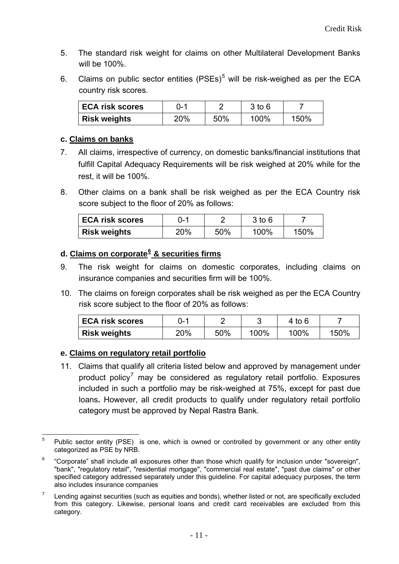- <span id="page-15-0"></span>5. The standard risk weight for claims on other Multilateral Development Banks will be 100%.
- 6. Claims on public sector entities  $(PSEs)^5$  $(PSEs)^5$  will be risk-weighed as per the ECA country risk scores.

| <b>ECA risk scores</b> | $1 - 1$ |     | 3 to 6 |      |
|------------------------|---------|-----|--------|------|
| <b>Risk weights</b>    | 20%     | 50% | 100%   | 150% |

### **c. Claims on banks**

- 7. All claims, irrespective of currency, on domestic banks/financial institutions that fulfill Capital Adequacy Requirements will be risk weighed at 20% while for the rest, it will be 100%.
- 8. Other claims on a bank shall be risk weighed as per the ECA Country risk score subject to the floor of 20% as follows:

| <b>ECA risk scores</b> | ገ-1 |     | $3$ to 6 |      |
|------------------------|-----|-----|----------|------|
| Risk weights           | 20% | 50% | 100%     | 150% |

### **d. Claims on corporate[6](#page-15-0) & securities firms**

- 9. The risk weight for claims on domestic corporates, including claims on insurance companies and securities firm will be 100%.
- 10. The claims on foreign corporates shall be risk weighed as per the ECA Country risk score subject to the floor of 20% as follows:

| ECA risk scores     | ገ-′ |     |      | 4 to 6 |      |
|---------------------|-----|-----|------|--------|------|
| <b>Risk weights</b> | 20% | 50% | 100% | 100%   | 150% |

### **e. Claims on regulatory retail portfolio**

11. Claims that qualify all criteria listed below and approved by management under product policy<sup>[7](#page-15-0)</sup> may be considered as regulatory retail portfolio. Exposures included in such a portfolio may be risk-weighed at 75%, except for past due loans**.** However, all credit products to qualify under regulatory retail portfolio category must be approved by Nepal Rastra Bank.

<sup>1</sup> 5 Public sector entity (PSE) is one, which is owned or controlled by government or any other entity categorized as PSE by NRB.

<sup>6</sup> "Corporate" shall include all exposures other than those which qualify for inclusion under "sovereign", "bank", "regulatory retail", "residential mortgage", "commercial real estate", "past due claims" or other specified category addressed separately under this guideline. For capital adequacy purposes, the term also includes insurance companies

<sup>7</sup> Lending against securities (such as equities and bonds), whether listed or not, are specifically excluded from this category. Likewise, personal loans and credit card receivables are excluded from this category.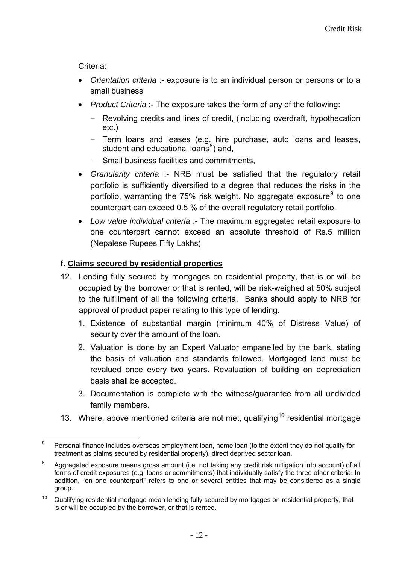### <span id="page-16-0"></span>Criteria:

- *Orientation criteria* :- exposure is to an individual person or persons or to a small business
- *Product Criteria* :- The exposure takes the form of any of the following:
	- − Revolving credits and lines of credit, (including overdraft, hypothecation etc.)
	- − Term loans and leases (e.g. hire purchase, auto loans and leases, student and educational loans $8$ ) and,
	- − Small business facilities and commitments,
- *Granularity criteria* :- NRB must be satisfied that the regulatory retail portfolio is sufficiently diversified to a degree that reduces the risks in the portfolio, warranting the 75% risk weight. No aggregate exposure<sup>[9](#page-16-0)</sup> to one counterpart can exceed 0.5 % of the overall regulatory retail portfolio.
- *Low value individual criteria* :- The maximum aggregated retail exposure to one counterpart cannot exceed an absolute threshold of Rs.5 million (Nepalese Rupees Fifty Lakhs)

# **f. Claims secured by residential properties**

- 12. Lending fully secured by mortgages on residential property, that is or will be occupied by the borrower or that is rented, will be risk-weighed at 50% subject to the fulfillment of all the following criteria. Banks should apply to NRB for approval of product paper relating to this type of lending.
	- 1. Existence of substantial margin (minimum 40% of Distress Value) of security over the amount of the loan.
	- 2. Valuation is done by an Expert Valuator empanelled by the bank, stating the basis of valuation and standards followed. Mortgaged land must be revalued once every two years. Revaluation of building on depreciation basis shall be accepted.
	- 3. Documentation is complete with the witness/guarantee from all undivided family members.
- 13. Where, above mentioned criteria are not met, qualifying<sup>[10](#page-16-0)</sup> residential mortgage

<sup>-&</sup>lt;br>8 Personal finance includes overseas employment loan, home loan (to the extent they do not qualify for treatment as claims secured by residential property), direct deprived sector loan.

<sup>9</sup> Aggregated exposure means gross amount (i.e. not taking any credit risk mitigation into account) of all forms of credit exposures (e.g. loans or commitments) that individually satisfy the three other criteria. In addition, "on one counterpart" refers to one or several entities that may be considered as a single group.

 $10$  Qualifying residential mortgage mean lending fully secured by mortgages on residential property, that is or will be occupied by the borrower, or that is rented.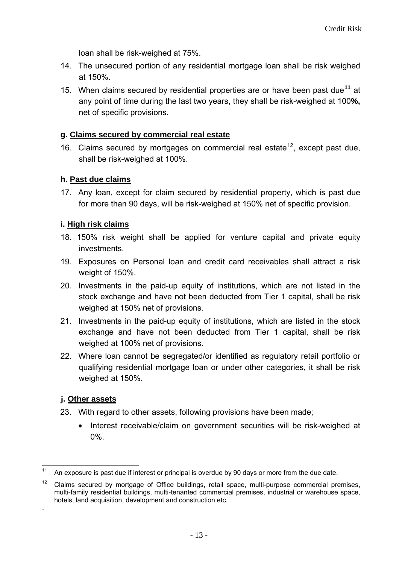loan shall be risk-weighed at 75%.

- <span id="page-17-0"></span>14. The unsecured portion of any residential mortgage loan shall be risk weighed at 150%.
- 15. When claims secured by residential properties are or have been past due**[11](#page-17-0)** at any point of time during the last two years, they shall be risk-weighed at 100**%,** net of specific provisions.

### **g. Claims secured by commercial real estate**

16. Claims secured by mortgages on commercial real estate<sup>[12](#page-17-0)</sup>, except past due, shall be risk-weighed at 100%.

### **h. Past due claims**

17. Any loan, except for claim secured by residential property, which is past due for more than 90 days, will be risk-weighed at 150% net of specific provision.

# **i. High risk claims**

- 18. 150% risk weight shall be applied for venture capital and private equity investments.
- 19. Exposures on Personal loan and credit card receivables shall attract a risk weight of 150%.
- 20. Investments in the paid-up equity of institutions, which are not listed in the stock exchange and have not been deducted from Tier 1 capital, shall be risk weighed at 150% net of provisions.
- 21. Investments in the paid-up equity of institutions, which are listed in the stock exchange and have not been deducted from Tier 1 capital, shall be risk weighed at 100% net of provisions.
- 22. Where loan cannot be segregated/or identified as regulatory retail portfolio or qualifying residential mortgage loan or under other categories, it shall be risk weighed at 150%.

# **j. Other assets**

.

- 23. With regard to other assets, following provisions have been made;
	- Interest receivable/claim on government securities will be risk-weighed at 0%.

 $11$ An exposure is past due if interest or principal is overdue by 90 days or more from the due date.

 $12$  Claims secured by mortgage of Office buildings, retail space, multi-purpose commercial premises, multi-family residential buildings, multi-tenanted commercial premises, industrial or warehouse space, hotels, land acquisition, development and construction etc.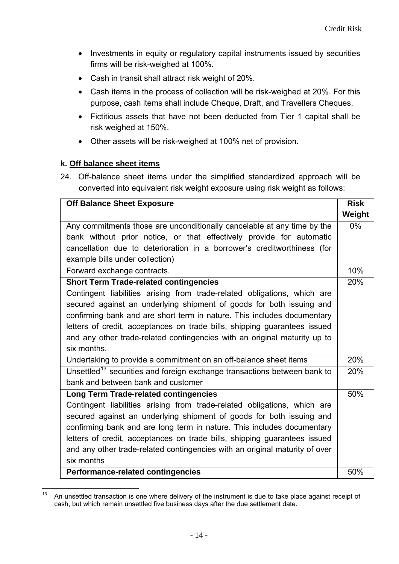- <span id="page-18-0"></span>• Investments in equity or regulatory capital instruments issued by securities firms will be risk-weighed at 100%.
- Cash in transit shall attract risk weight of 20%.
- Cash items in the process of collection will be risk-weighed at 20%. For this purpose, cash items shall include Cheque, Draft, and Travellers Cheques.
- Fictitious assets that have not been deducted from Tier 1 capital shall be risk weighed at 150%.
- Other assets will be risk-weighed at 100% net of provision.

### **k. Off balance sheet items**

24. Off-balance sheet items under the simplified standardized approach will be converted into equivalent risk weight exposure using risk weight as follows:

| <b>Off Balance Sheet Exposure</b>                                                    | <b>Risk</b> |
|--------------------------------------------------------------------------------------|-------------|
|                                                                                      | Weight      |
| Any commitments those are unconditionally cancelable at any time by the              | $0\%$       |
| bank without prior notice, or that effectively provide for automatic                 |             |
| cancellation due to deterioration in a borrower's creditworthiness (for              |             |
| example bills under collection)                                                      |             |
| Forward exchange contracts.                                                          | 10%         |
| <b>Short Term Trade-related contingencies</b>                                        | 20%         |
| Contingent liabilities arising from trade-related obligations, which are             |             |
| secured against an underlying shipment of goods for both issuing and                 |             |
| confirming bank and are short term in nature. This includes documentary              |             |
| letters of credit, acceptances on trade bills, shipping guarantees issued            |             |
| and any other trade-related contingencies with an original maturity up to            |             |
| six months.                                                                          |             |
| Undertaking to provide a commitment on an off-balance sheet items                    | 20%         |
| Unsettled <sup>13</sup> securities and foreign exchange transactions between bank to | 20%         |
| bank and between bank and customer                                                   |             |
| <b>Long Term Trade-related contingencies</b>                                         | 50%         |
| Contingent liabilities arising from trade-related obligations, which are             |             |
| secured against an underlying shipment of goods for both issuing and                 |             |
| confirming bank and are long term in nature. This includes documentary               |             |
| letters of credit, acceptances on trade bills, shipping guarantees issued            |             |
| and any other trade-related contingencies with an original maturity of over          |             |
| six months                                                                           |             |
| <b>Performance-related contingencies</b>                                             | 50%         |

 $13$ An unsettled transaction is one where delivery of the instrument is due to take place against receipt of cash, but which remain unsettled five business days after the due settlement date.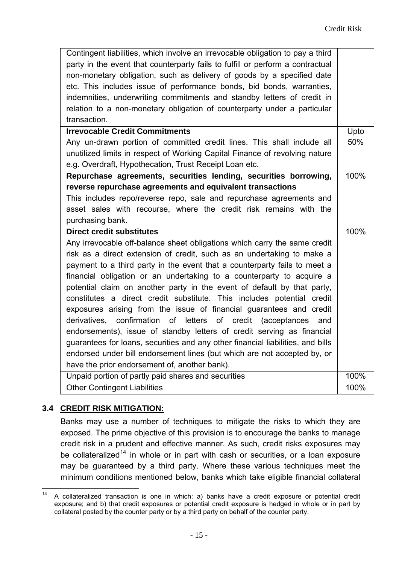<span id="page-19-0"></span>

| Contingent liabilities, which involve an irrevocable obligation to pay a third<br>party in the event that counterparty fails to fulfill or perform a contractual<br>non-monetary obligation, such as delivery of goods by a specified date<br>etc. This includes issue of performance bonds, bid bonds, warranties,<br>indemnities, underwriting commitments and standby letters of credit in<br>relation to a non-monetary obligation of counterparty under a particular<br>transaction.                                                                                                                                                                                                                                                                                                                                                                                                             |      |
|-------------------------------------------------------------------------------------------------------------------------------------------------------------------------------------------------------------------------------------------------------------------------------------------------------------------------------------------------------------------------------------------------------------------------------------------------------------------------------------------------------------------------------------------------------------------------------------------------------------------------------------------------------------------------------------------------------------------------------------------------------------------------------------------------------------------------------------------------------------------------------------------------------|------|
| <b>Irrevocable Credit Commitments</b>                                                                                                                                                                                                                                                                                                                                                                                                                                                                                                                                                                                                                                                                                                                                                                                                                                                                 | Upto |
| Any un-drawn portion of committed credit lines. This shall include all<br>unutilized limits in respect of Working Capital Finance of revolving nature<br>e.g. Overdraft, Hypothecation, Trust Receipt Loan etc.                                                                                                                                                                                                                                                                                                                                                                                                                                                                                                                                                                                                                                                                                       | 50%  |
| Repurchase agreements, securities lending, securities borrowing,                                                                                                                                                                                                                                                                                                                                                                                                                                                                                                                                                                                                                                                                                                                                                                                                                                      | 100% |
| reverse repurchase agreements and equivalent transactions                                                                                                                                                                                                                                                                                                                                                                                                                                                                                                                                                                                                                                                                                                                                                                                                                                             |      |
| This includes repo/reverse repo, sale and repurchase agreements and                                                                                                                                                                                                                                                                                                                                                                                                                                                                                                                                                                                                                                                                                                                                                                                                                                   |      |
| asset sales with recourse, where the credit risk remains with the                                                                                                                                                                                                                                                                                                                                                                                                                                                                                                                                                                                                                                                                                                                                                                                                                                     |      |
| purchasing bank.                                                                                                                                                                                                                                                                                                                                                                                                                                                                                                                                                                                                                                                                                                                                                                                                                                                                                      |      |
| <b>Direct credit substitutes</b>                                                                                                                                                                                                                                                                                                                                                                                                                                                                                                                                                                                                                                                                                                                                                                                                                                                                      | 100% |
| Any irrevocable off-balance sheet obligations which carry the same credit<br>risk as a direct extension of credit, such as an undertaking to make a<br>payment to a third party in the event that a counterparty fails to meet a<br>financial obligation or an undertaking to a counterparty to acquire a<br>potential claim on another party in the event of default by that party,<br>constitutes a direct credit substitute. This includes potential credit<br>exposures arising from the issue of financial guarantees and credit<br>derivatives, confirmation of letters of credit (acceptances<br>and<br>endorsements), issue of standby letters of credit serving as financial<br>guarantees for loans, securities and any other financial liabilities, and bills<br>endorsed under bill endorsement lines (but which are not accepted by, or<br>have the prior endorsement of, another bank). |      |
| Unpaid portion of partly paid shares and securities                                                                                                                                                                                                                                                                                                                                                                                                                                                                                                                                                                                                                                                                                                                                                                                                                                                   | 100% |
| <b>Other Contingent Liabilities</b>                                                                                                                                                                                                                                                                                                                                                                                                                                                                                                                                                                                                                                                                                                                                                                                                                                                                   | 100% |

# **3.4 CREDIT RISK MITIGATION:**

Banks may use a number of techniques to mitigate the risks to which they are exposed. The prime objective of this provision is to encourage the banks to manage credit risk in a prudent and effective manner. As such, credit risks exposures may be collateralized<sup>[14](#page-19-0)</sup> in whole or in part with cash or securities, or a loan exposure may be guaranteed by a third party. Where these various techniques meet the minimum conditions mentioned below, banks which take eligible financial collateral

 $14$ 14 A collateralized transaction is one in which: a) banks have a credit exposure or potential credit exposure; and b) that credit exposures or potential credit exposure is hedged in whole or in part by collateral posted by the counter party or by a third party on behalf of the counter party.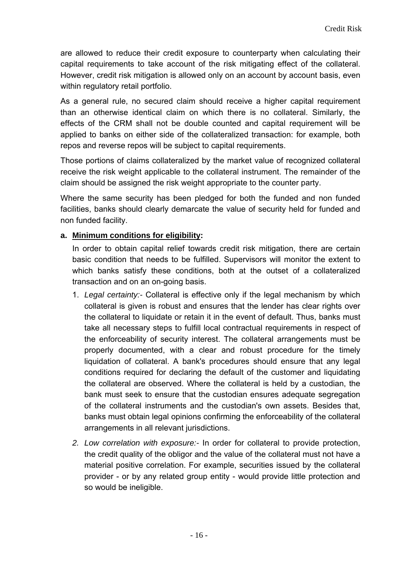are allowed to reduce their credit exposure to counterparty when calculating their capital requirements to take account of the risk mitigating effect of the collateral. However, credit risk mitigation is allowed only on an account by account basis, even within regulatory retail portfolio.

As a general rule, no secured claim should receive a higher capital requirement than an otherwise identical claim on which there is no collateral. Similarly, the effects of the CRM shall not be double counted and capital requirement will be applied to banks on either side of the collateralized transaction: for example, both repos and reverse repos will be subject to capital requirements.

Those portions of claims collateralized by the market value of recognized collateral receive the risk weight applicable to the collateral instrument. The remainder of the claim should be assigned the risk weight appropriate to the counter party.

Where the same security has been pledged for both the funded and non funded facilities, banks should clearly demarcate the value of security held for funded and non funded facility.

### **a. Minimum conditions for eligibility:**

In order to obtain capital relief towards credit risk mitigation, there are certain basic condition that needs to be fulfilled. Supervisors will monitor the extent to which banks satisfy these conditions, both at the outset of a collateralized transaction and on an on-going basis.

- 1. *Legal certainty:-* Collateral is effective only if the legal mechanism by which collateral is given is robust and ensures that the lender has clear rights over the collateral to liquidate or retain it in the event of default. Thus, banks must take all necessary steps to fulfill local contractual requirements in respect of the enforceability of security interest. The collateral arrangements must be properly documented, with a clear and robust procedure for the timely liquidation of collateral. A bank's procedures should ensure that any legal conditions required for declaring the default of the customer and liquidating the collateral are observed. Where the collateral is held by a custodian, the bank must seek to ensure that the custodian ensures adequate segregation of the collateral instruments and the custodian's own assets. Besides that, banks must obtain legal opinions confirming the enforceability of the collateral arrangements in all relevant jurisdictions.
- *2. Low correlation with exposure:-* In order for collateral to provide protection, the credit quality of the obligor and the value of the collateral must not have a material positive correlation. For example, securities issued by the collateral provider - or by any related group entity - would provide little protection and so would be ineligible.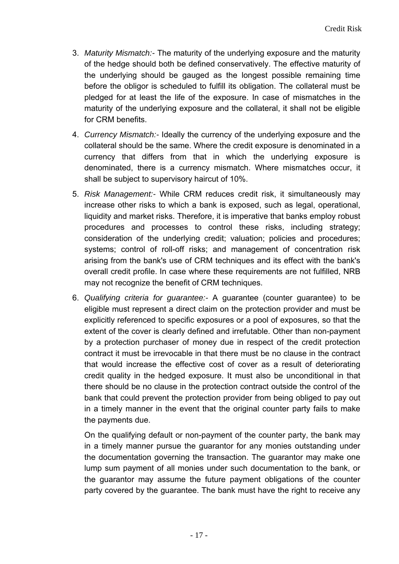- 3. *Maturity Mismatch:-* The maturity of the underlying exposure and the maturity of the hedge should both be defined conservatively. The effective maturity of the underlying should be gauged as the longest possible remaining time before the obligor is scheduled to fulfill its obligation. The collateral must be pledged for at least the life of the exposure. In case of mismatches in the maturity of the underlying exposure and the collateral, it shall not be eligible for CRM benefits.
- 4. *Currency Mismatch:-* Ideally the currency of the underlying exposure and the collateral should be the same. Where the credit exposure is denominated in a currency that differs from that in which the underlying exposure is denominated, there is a currency mismatch. Where mismatches occur, it shall be subject to supervisory haircut of 10%.
- 5. *Risk Management:-* While CRM reduces credit risk, it simultaneously may increase other risks to which a bank is exposed, such as legal, operational, liquidity and market risks. Therefore, it is imperative that banks employ robust procedures and processes to control these risks, including strategy; consideration of the underlying credit; valuation; policies and procedures; systems; control of roll-off risks; and management of concentration risk arising from the bank's use of CRM techniques and its effect with the bank's overall credit profile. In case where these requirements are not fulfilled, NRB may not recognize the benefit of CRM techniques.
- 6. *Qualifying criteria for guarantee:-* A guarantee (counter guarantee) to be eligible must represent a direct claim on the protection provider and must be explicitly referenced to specific exposures or a pool of exposures, so that the extent of the cover is clearly defined and irrefutable. Other than non-payment by a protection purchaser of money due in respect of the credit protection contract it must be irrevocable in that there must be no clause in the contract that would increase the effective cost of cover as a result of deteriorating credit quality in the hedged exposure. It must also be unconditional in that there should be no clause in the protection contract outside the control of the bank that could prevent the protection provider from being obliged to pay out in a timely manner in the event that the original counter party fails to make the payments due.

On the qualifying default or non-payment of the counter party, the bank may in a timely manner pursue the guarantor for any monies outstanding under the documentation governing the transaction. The guarantor may make one lump sum payment of all monies under such documentation to the bank, or the guarantor may assume the future payment obligations of the counter party covered by the guarantee. The bank must have the right to receive any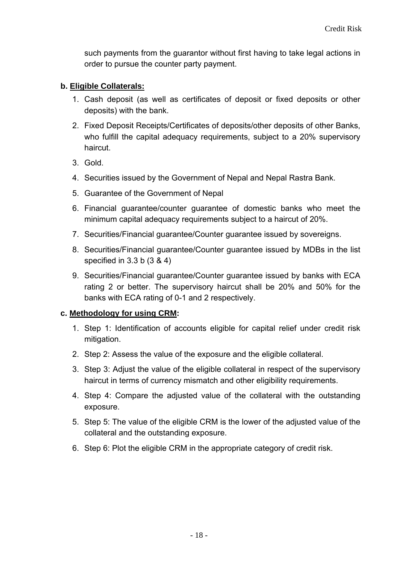such payments from the guarantor without first having to take legal actions in order to pursue the counter party payment.

### **b. Eligible Collaterals:**

- 1. Cash deposit (as well as certificates of deposit or fixed deposits or other deposits) with the bank.
- 2. Fixed Deposit Receipts/Certificates of deposits/other deposits of other Banks, who fulfill the capital adequacy requirements, subject to a 20% supervisory haircut.
- 3. Gold.
- 4. Securities issued by the Government of Nepal and Nepal Rastra Bank.
- 5. Guarantee of the Government of Nepal
- 6. Financial guarantee/counter guarantee of domestic banks who meet the minimum capital adequacy requirements subject to a haircut of 20%.
- 7. Securities/Financial guarantee/Counter guarantee issued by sovereigns.
- 8. Securities/Financial guarantee/Counter guarantee issued by MDBs in the list specified in 3.3 b (3 & 4)
- 9. Securities/Financial guarantee/Counter guarantee issued by banks with ECA rating 2 or better. The supervisory haircut shall be 20% and 50% for the banks with ECA rating of 0-1 and 2 respectively.

#### **c. Methodology for using CRM:**

- 1. Step 1: Identification of accounts eligible for capital relief under credit risk mitigation.
- 2. Step 2: Assess the value of the exposure and the eligible collateral.
- 3. Step 3: Adjust the value of the eligible collateral in respect of the supervisory haircut in terms of currency mismatch and other eligibility requirements.
- 4. Step 4: Compare the adjusted value of the collateral with the outstanding exposure.
- 5. Step 5: The value of the eligible CRM is the lower of the adjusted value of the collateral and the outstanding exposure.
- 6. Step 6: Plot the eligible CRM in the appropriate category of credit risk.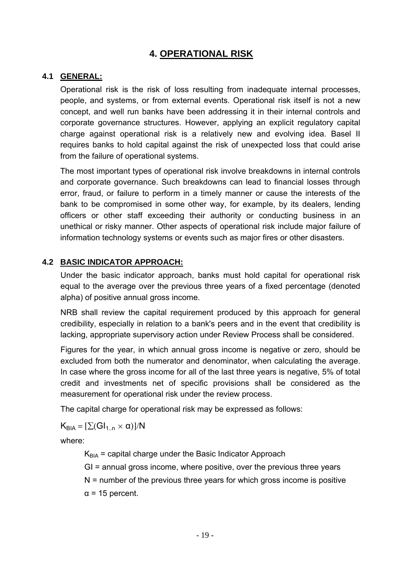# **4. OPERATIONAL RISK**

### **4.1 GENERAL:**

Operational risk is the risk of loss resulting from inadequate internal processes, people, and systems, or from external events. Operational risk itself is not a new concept, and well run banks have been addressing it in their internal controls and corporate governance structures. However, applying an explicit regulatory capital charge against operational risk is a relatively new and evolving idea. Basel II requires banks to hold capital against the risk of unexpected loss that could arise from the failure of operational systems.

The most important types of operational risk involve breakdowns in internal controls and corporate governance. Such breakdowns can lead to financial losses through error, fraud, or failure to perform in a timely manner or cause the interests of the bank to be compromised in some other way, for example, by its dealers, lending officers or other staff exceeding their authority or conducting business in an unethical or risky manner. Other aspects of operational risk include major failure of information technology systems or events such as major fires or other disasters.

### **4.2 BASIC INDICATOR APPROACH:**

Under the basic indicator approach, banks must hold capital for operational risk equal to the average over the previous three years of a fixed percentage (denoted alpha) of positive annual gross income.

NRB shall review the capital requirement produced by this approach for general credibility, especially in relation to a bank's peers and in the event that credibility is lacking, appropriate supervisory action under Review Process shall be considered.

Figures for the year, in which annual gross income is negative or zero, should be excluded from both the numerator and denominator, when calculating the average. In case where the gross income for all of the last three years is negative, 5% of total credit and investments net of specific provisions shall be considered as the measurement for operational risk under the review process.

The capital charge for operational risk may be expressed as follows:

 $K_{BIA} = [\Sigma(GI_{1.n} \times \alpha)]/N$ 

where:

 $K<sub>BIA</sub>$  = capital charge under the Basic Indicator Approach

- GI = annual gross income, where positive, over the previous three years
- $N =$  number of the previous three years for which gross income is positive

α = 15 percent.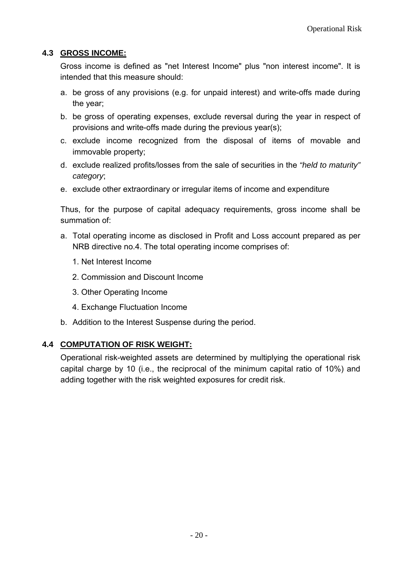### **4.3 GROSS INCOME:**

Gross income is defined as "net Interest Income" plus "non interest income". It is intended that this measure should:

- a. be gross of any provisions (e.g. for unpaid interest) and write-offs made during the year;
- b. be gross of operating expenses, exclude reversal during the year in respect of provisions and write-offs made during the previous year(s);
- c. exclude income recognized from the disposal of items of movable and immovable property;
- d. exclude realized profits/losses from the sale of securities in the *"held to maturity" category*;
- e. exclude other extraordinary or irregular items of income and expenditure

Thus, for the purpose of capital adequacy requirements, gross income shall be summation of:

- a. Total operating income as disclosed in Profit and Loss account prepared as per NRB directive no.4. The total operating income comprises of:
	- 1. Net Interest Income
	- 2. Commission and Discount Income
	- 3. Other Operating Income
	- 4. Exchange Fluctuation Income
- b. Addition to the Interest Suspense during the period.

### **4.4 COMPUTATION OF RISK WEIGHT:**

Operational risk-weighted assets are determined by multiplying the operational risk capital charge by 10 (i.e., the reciprocal of the minimum capital ratio of 10%) and adding together with the risk weighted exposures for credit risk.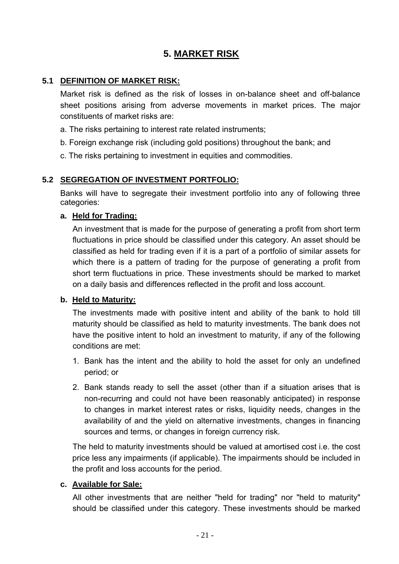# **5. MARKET RISK**

### **5.1 DEFINITION OF MARKET RISK:**

Market risk is defined as the risk of losses in on-balance sheet and off-balance sheet positions arising from adverse movements in market prices. The major constituents of market risks are:

- a. The risks pertaining to interest rate related instruments;
- b. Foreign exchange risk (including gold positions) throughout the bank; and
- c. The risks pertaining to investment in equities and commodities.

### **5.2 SEGREGATION OF INVESTMENT PORTFOLIO:**

Banks will have to segregate their investment portfolio into any of following three categories:

### **a. Held for Trading:**

An investment that is made for the purpose of generating a profit from short term fluctuations in price should be classified under this category. An asset should be classified as held for trading even if it is a part of a portfolio of similar assets for which there is a pattern of trading for the purpose of generating a profit from short term fluctuations in price. These investments should be marked to market on a daily basis and differences reflected in the profit and loss account.

### **b. Held to Maturity:**

The investments made with positive intent and ability of the bank to hold till maturity should be classified as held to maturity investments. The bank does not have the positive intent to hold an investment to maturity, if any of the following conditions are met:

- 1. Bank has the intent and the ability to hold the asset for only an undefined period; or
- 2. Bank stands ready to sell the asset (other than if a situation arises that is non-recurring and could not have been reasonably anticipated) in response to changes in market interest rates or risks, liquidity needs, changes in the availability of and the yield on alternative investments, changes in financing sources and terms, or changes in foreign currency risk.

The held to maturity investments should be valued at amortised cost i.e. the cost price less any impairments (if applicable). The impairments should be included in the profit and loss accounts for the period.

#### **c. Available for Sale:**

All other investments that are neither "held for trading" nor "held to maturity" should be classified under this category. These investments should be marked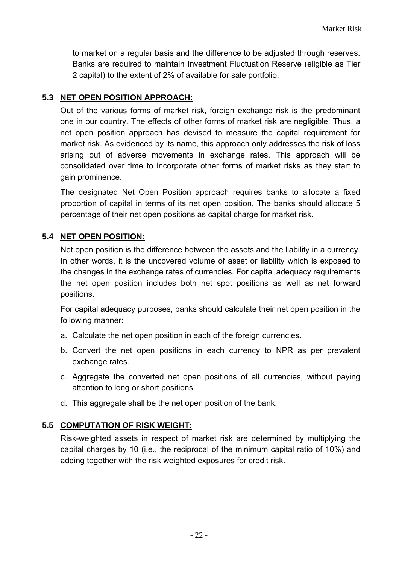to market on a regular basis and the difference to be adjusted through reserves. Banks are required to maintain Investment Fluctuation Reserve (eligible as Tier 2 capital) to the extent of 2% of available for sale portfolio.

### **5.3 NET OPEN POSITION APPROACH:**

Out of the various forms of market risk, foreign exchange risk is the predominant one in our country. The effects of other forms of market risk are negligible. Thus, a net open position approach has devised to measure the capital requirement for market risk. As evidenced by its name, this approach only addresses the risk of loss arising out of adverse movements in exchange rates. This approach will be consolidated over time to incorporate other forms of market risks as they start to gain prominence.

The designated Net Open Position approach requires banks to allocate a fixed proportion of capital in terms of its net open position. The banks should allocate 5 percentage of their net open positions as capital charge for market risk.

### **5.4 NET OPEN POSITION:**

Net open position is the difference between the assets and the liability in a currency. In other words, it is the uncovered volume of asset or liability which is exposed to the changes in the exchange rates of currencies. For capital adequacy requirements the net open position includes both net spot positions as well as net forward positions.

For capital adequacy purposes, banks should calculate their net open position in the following manner:

- a. Calculate the net open position in each of the foreign currencies.
- b. Convert the net open positions in each currency to NPR as per prevalent exchange rates.
- c. Aggregate the converted net open positions of all currencies, without paying attention to long or short positions.
- d. This aggregate shall be the net open position of the bank.

# **5.5 COMPUTATION OF RISK WEIGHT:**

Risk-weighted assets in respect of market risk are determined by multiplying the capital charges by 10 (i.e., the reciprocal of the minimum capital ratio of 10%) and adding together with the risk weighted exposures for credit risk.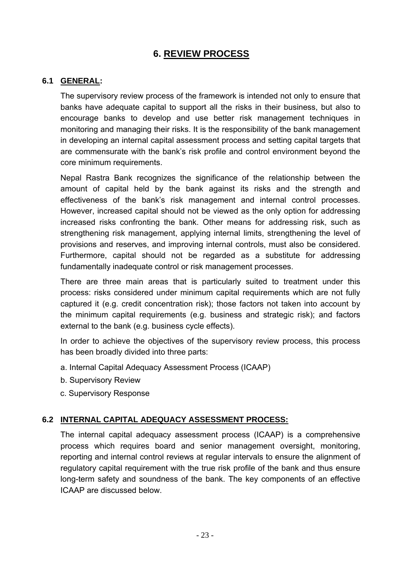# **6. REVIEW PROCESS**

### **6.1 GENERAL:**

The supervisory review process of the framework is intended not only to ensure that banks have adequate capital to support all the risks in their business, but also to encourage banks to develop and use better risk management techniques in monitoring and managing their risks. It is the responsibility of the bank management in developing an internal capital assessment process and setting capital targets that are commensurate with the bank's risk profile and control environment beyond the core minimum requirements.

Nepal Rastra Bank recognizes the significance of the relationship between the amount of capital held by the bank against its risks and the strength and effectiveness of the bank's risk management and internal control processes. However, increased capital should not be viewed as the only option for addressing increased risks confronting the bank. Other means for addressing risk, such as strengthening risk management, applying internal limits, strengthening the level of provisions and reserves, and improving internal controls, must also be considered. Furthermore, capital should not be regarded as a substitute for addressing fundamentally inadequate control or risk management processes.

There are three main areas that is particularly suited to treatment under this process: risks considered under minimum capital requirements which are not fully captured it (e.g. credit concentration risk); those factors not taken into account by the minimum capital requirements (e.g. business and strategic risk); and factors external to the bank (e.g. business cycle effects).

In order to achieve the objectives of the supervisory review process, this process has been broadly divided into three parts:

- a. Internal Capital Adequacy Assessment Process (ICAAP)
- b. Supervisory Review
- c. Supervisory Response

### **6.2 INTERNAL CAPITAL ADEQUACY ASSESSMENT PROCESS:**

The internal capital adequacy assessment process (ICAAP) is a comprehensive process which requires board and senior management oversight, monitoring, reporting and internal control reviews at regular intervals to ensure the alignment of regulatory capital requirement with the true risk profile of the bank and thus ensure long-term safety and soundness of the bank. The key components of an effective ICAAP are discussed below.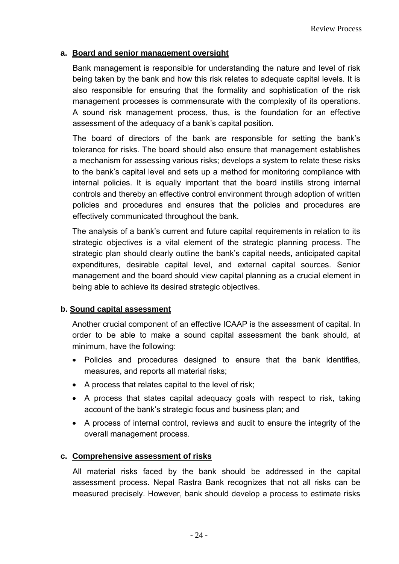### **a. Board and senior management oversight**

Bank management is responsible for understanding the nature and level of risk being taken by the bank and how this risk relates to adequate capital levels. It is also responsible for ensuring that the formality and sophistication of the risk management processes is commensurate with the complexity of its operations. A sound risk management process, thus, is the foundation for an effective assessment of the adequacy of a bank's capital position.

The board of directors of the bank are responsible for setting the bank's tolerance for risks. The board should also ensure that management establishes a mechanism for assessing various risks; develops a system to relate these risks to the bank's capital level and sets up a method for monitoring compliance with internal policies. It is equally important that the board instills strong internal controls and thereby an effective control environment through adoption of written policies and procedures and ensures that the policies and procedures are effectively communicated throughout the bank.

The analysis of a bank's current and future capital requirements in relation to its strategic objectives is a vital element of the strategic planning process. The strategic plan should clearly outline the bank's capital needs, anticipated capital expenditures, desirable capital level, and external capital sources. Senior management and the board should view capital planning as a crucial element in being able to achieve its desired strategic objectives.

#### **b. Sound capital assessment**

Another crucial component of an effective ICAAP is the assessment of capital. In order to be able to make a sound capital assessment the bank should, at minimum, have the following:

- Policies and procedures designed to ensure that the bank identifies, measures, and reports all material risks;
- A process that relates capital to the level of risk;
- A process that states capital adequacy goals with respect to risk, taking account of the bank's strategic focus and business plan; and
- A process of internal control, reviews and audit to ensure the integrity of the overall management process.

#### **c. Comprehensive assessment of risks**

All material risks faced by the bank should be addressed in the capital assessment process. Nepal Rastra Bank recognizes that not all risks can be measured precisely. However, bank should develop a process to estimate risks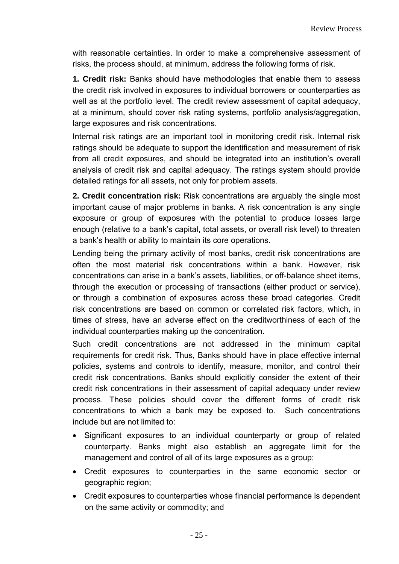with reasonable certainties. In order to make a comprehensive assessment of risks, the process should, at minimum, address the following forms of risk.

**1. Credit risk:** Banks should have methodologies that enable them to assess the credit risk involved in exposures to individual borrowers or counterparties as well as at the portfolio level. The credit review assessment of capital adequacy, at a minimum, should cover risk rating systems, portfolio analysis/aggregation, large exposures and risk concentrations.

Internal risk ratings are an important tool in monitoring credit risk. Internal risk ratings should be adequate to support the identification and measurement of risk from all credit exposures, and should be integrated into an institution's overall analysis of credit risk and capital adequacy. The ratings system should provide detailed ratings for all assets, not only for problem assets.

**2. Credit concentration risk:** Risk concentrations are arguably the single most important cause of major problems in banks. A risk concentration is any single exposure or group of exposures with the potential to produce losses large enough (relative to a bank's capital, total assets, or overall risk level) to threaten a bank's health or ability to maintain its core operations.

Lending being the primary activity of most banks, credit risk concentrations are often the most material risk concentrations within a bank. However, risk concentrations can arise in a bank's assets, liabilities, or off-balance sheet items, through the execution or processing of transactions (either product or service), or through a combination of exposures across these broad categories. Credit risk concentrations are based on common or correlated risk factors, which, in times of stress, have an adverse effect on the creditworthiness of each of the individual counterparties making up the concentration.

Such credit concentrations are not addressed in the minimum capital requirements for credit risk. Thus, Banks should have in place effective internal policies, systems and controls to identify, measure, monitor, and control their credit risk concentrations. Banks should explicitly consider the extent of their credit risk concentrations in their assessment of capital adequacy under review process. These policies should cover the different forms of credit risk concentrations to which a bank may be exposed to. Such concentrations include but are not limited to:

- Significant exposures to an individual counterparty or group of related counterparty. Banks might also establish an aggregate limit for the management and control of all of its large exposures as a group;
- Credit exposures to counterparties in the same economic sector or geographic region;
- Credit exposures to counterparties whose financial performance is dependent on the same activity or commodity; and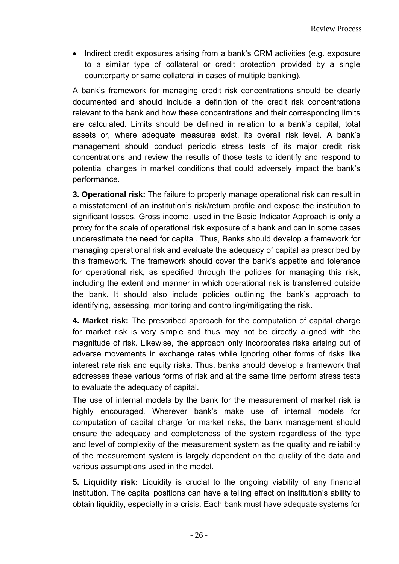• Indirect credit exposures arising from a bank's CRM activities (e.g. exposure to a similar type of collateral or credit protection provided by a single counterparty or same collateral in cases of multiple banking).

A bank's framework for managing credit risk concentrations should be clearly documented and should include a definition of the credit risk concentrations relevant to the bank and how these concentrations and their corresponding limits are calculated. Limits should be defined in relation to a bank's capital, total assets or, where adequate measures exist, its overall risk level. A bank's management should conduct periodic stress tests of its major credit risk concentrations and review the results of those tests to identify and respond to potential changes in market conditions that could adversely impact the bank's performance.

**3. Operational risk:** The failure to properly manage operational risk can result in a misstatement of an institution's risk/return profile and expose the institution to significant losses. Gross income, used in the Basic Indicator Approach is only a proxy for the scale of operational risk exposure of a bank and can in some cases underestimate the need for capital. Thus, Banks should develop a framework for managing operational risk and evaluate the adequacy of capital as prescribed by this framework. The framework should cover the bank's appetite and tolerance for operational risk, as specified through the policies for managing this risk, including the extent and manner in which operational risk is transferred outside the bank. It should also include policies outlining the bank's approach to identifying, assessing, monitoring and controlling/mitigating the risk.

**4. Market risk:** The prescribed approach for the computation of capital charge for market risk is very simple and thus may not be directly aligned with the magnitude of risk. Likewise, the approach only incorporates risks arising out of adverse movements in exchange rates while ignoring other forms of risks like interest rate risk and equity risks. Thus, banks should develop a framework that addresses these various forms of risk and at the same time perform stress tests to evaluate the adequacy of capital.

The use of internal models by the bank for the measurement of market risk is highly encouraged. Wherever bank's make use of internal models for computation of capital charge for market risks, the bank management should ensure the adequacy and completeness of the system regardless of the type and level of complexity of the measurement system as the quality and reliability of the measurement system is largely dependent on the quality of the data and various assumptions used in the model.

**5. Liquidity risk:** Liquidity is crucial to the ongoing viability of any financial institution. The capital positions can have a telling effect on institution's ability to obtain liquidity, especially in a crisis. Each bank must have adequate systems for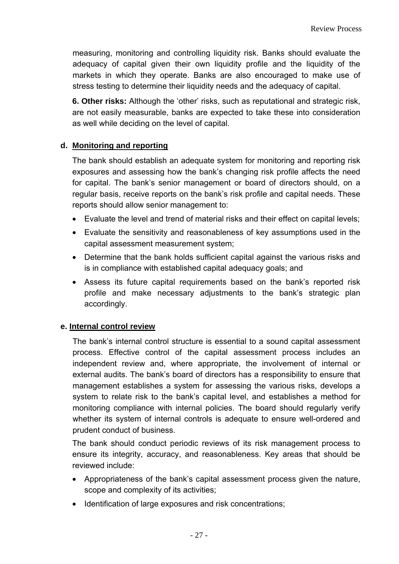measuring, monitoring and controlling liquidity risk. Banks should evaluate the adequacy of capital given their own liquidity profile and the liquidity of the markets in which they operate. Banks are also encouraged to make use of stress testing to determine their liquidity needs and the adequacy of capital.

**6. Other risks:** Although the 'other' risks, such as reputational and strategic risk, are not easily measurable, banks are expected to take these into consideration as well while deciding on the level of capital.

### **d. Monitoring and reporting**

The bank should establish an adequate system for monitoring and reporting risk exposures and assessing how the bank's changing risk profile affects the need for capital. The bank's senior management or board of directors should, on a regular basis, receive reports on the bank's risk profile and capital needs. These reports should allow senior management to:

- Evaluate the level and trend of material risks and their effect on capital levels;
- Evaluate the sensitivity and reasonableness of key assumptions used in the capital assessment measurement system;
- Determine that the bank holds sufficient capital against the various risks and is in compliance with established capital adequacy goals; and
- Assess its future capital requirements based on the bank's reported risk profile and make necessary adjustments to the bank's strategic plan accordingly.

### **e. Internal control review**

The bank's internal control structure is essential to a sound capital assessment process. Effective control of the capital assessment process includes an independent review and, where appropriate, the involvement of internal or external audits. The bank's board of directors has a responsibility to ensure that management establishes a system for assessing the various risks, develops a system to relate risk to the bank's capital level, and establishes a method for monitoring compliance with internal policies. The board should regularly verify whether its system of internal controls is adequate to ensure well-ordered and prudent conduct of business.

The bank should conduct periodic reviews of its risk management process to ensure its integrity, accuracy, and reasonableness. Key areas that should be reviewed include:

- Appropriateness of the bank's capital assessment process given the nature, scope and complexity of its activities;
- Identification of large exposures and risk concentrations;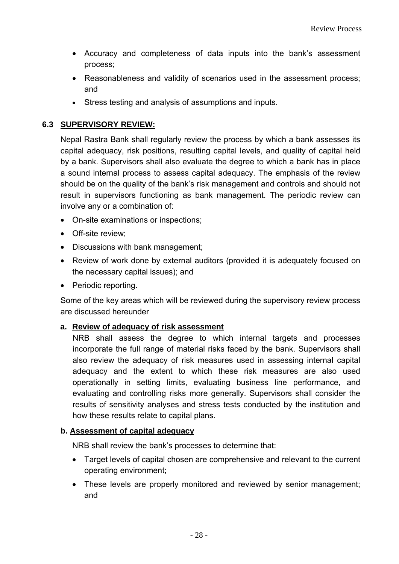- Accuracy and completeness of data inputs into the bank's assessment process;
- Reasonableness and validity of scenarios used in the assessment process; and
- Stress testing and analysis of assumptions and inputs.

# **6.3 SUPERVISORY REVIEW:**

Nepal Rastra Bank shall regularly review the process by which a bank assesses its capital adequacy, risk positions, resulting capital levels, and quality of capital held by a bank. Supervisors shall also evaluate the degree to which a bank has in place a sound internal process to assess capital adequacy. The emphasis of the review should be on the quality of the bank's risk management and controls and should not result in supervisors functioning as bank management. The periodic review can involve any or a combination of:

- On-site examinations or inspections;
- Off-site review:
- Discussions with bank management;
- Review of work done by external auditors (provided it is adequately focused on the necessary capital issues); and
- Periodic reporting.

Some of the key areas which will be reviewed during the supervisory review process are discussed hereunder

### **a. Review of adequacy of risk assessment**

NRB shall assess the degree to which internal targets and processes incorporate the full range of material risks faced by the bank. Supervisors shall also review the adequacy of risk measures used in assessing internal capital adequacy and the extent to which these risk measures are also used operationally in setting limits, evaluating business line performance, and evaluating and controlling risks more generally. Supervisors shall consider the results of sensitivity analyses and stress tests conducted by the institution and how these results relate to capital plans.

### **b. Assessment of capital adequacy**

NRB shall review the bank's processes to determine that:

- Target levels of capital chosen are comprehensive and relevant to the current operating environment;
- These levels are properly monitored and reviewed by senior management; and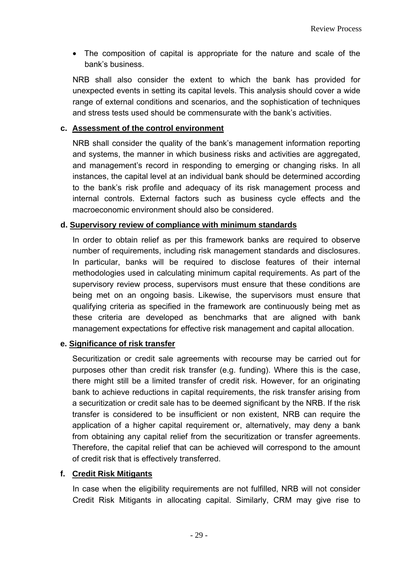• The composition of capital is appropriate for the nature and scale of the bank's business.

NRB shall also consider the extent to which the bank has provided for unexpected events in setting its capital levels. This analysis should cover a wide range of external conditions and scenarios, and the sophistication of techniques and stress tests used should be commensurate with the bank's activities.

#### **c. Assessment of the control environment**

NRB shall consider the quality of the bank's management information reporting and systems, the manner in which business risks and activities are aggregated, and management's record in responding to emerging or changing risks. In all instances, the capital level at an individual bank should be determined according to the bank's risk profile and adequacy of its risk management process and internal controls. External factors such as business cycle effects and the macroeconomic environment should also be considered.

### **d. Supervisory review of compliance with minimum standards**

In order to obtain relief as per this framework banks are required to observe number of requirements, including risk management standards and disclosures. In particular, banks will be required to disclose features of their internal methodologies used in calculating minimum capital requirements. As part of the supervisory review process, supervisors must ensure that these conditions are being met on an ongoing basis. Likewise, the supervisors must ensure that qualifying criteria as specified in the framework are continuously being met as these criteria are developed as benchmarks that are aligned with bank management expectations for effective risk management and capital allocation.

### **e. Significance of risk transfer**

Securitization or credit sale agreements with recourse may be carried out for purposes other than credit risk transfer (e.g. funding). Where this is the case, there might still be a limited transfer of credit risk. However, for an originating bank to achieve reductions in capital requirements, the risk transfer arising from a securitization or credit sale has to be deemed significant by the NRB. If the risk transfer is considered to be insufficient or non existent, NRB can require the application of a higher capital requirement or, alternatively, may deny a bank from obtaining any capital relief from the securitization or transfer agreements. Therefore, the capital relief that can be achieved will correspond to the amount of credit risk that is effectively transferred.

### **f. Credit Risk Mitigants**

In case when the eligibility requirements are not fulfilled, NRB will not consider Credit Risk Mitigants in allocating capital. Similarly, CRM may give rise to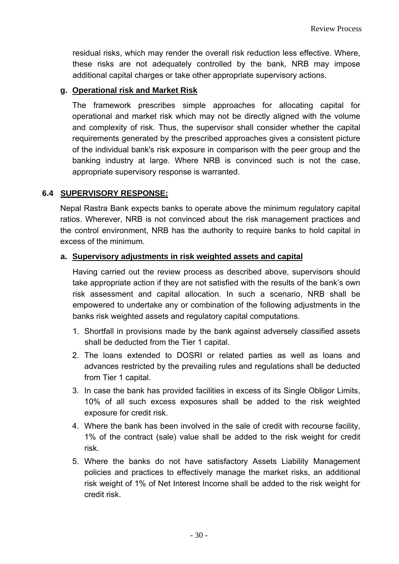residual risks, which may render the overall risk reduction less effective. Where, these risks are not adequately controlled by the bank, NRB may impose additional capital charges or take other appropriate supervisory actions.

### **g. Operational risk and Market Risk**

The framework prescribes simple approaches for allocating capital for operational and market risk which may not be directly aligned with the volume and complexity of risk. Thus, the supervisor shall consider whether the capital requirements generated by the prescribed approaches gives a consistent picture of the individual bank's risk exposure in comparison with the peer group and the banking industry at large. Where NRB is convinced such is not the case, appropriate supervisory response is warranted.

### **6.4 SUPERVISORY RESPONSE:**

Nepal Rastra Bank expects banks to operate above the minimum regulatory capital ratios. Wherever, NRB is not convinced about the risk management practices and the control environment, NRB has the authority to require banks to hold capital in excess of the minimum.

### **a. Supervisory adjustments in risk weighted assets and capital**

Having carried out the review process as described above, supervisors should take appropriate action if they are not satisfied with the results of the bank's own risk assessment and capital allocation. In such a scenario, NRB shall be empowered to undertake any or combination of the following adjustments in the banks risk weighted assets and regulatory capital computations.

- 1. Shortfall in provisions made by the bank against adversely classified assets shall be deducted from the Tier 1 capital.
- 2. The loans extended to DOSRI or related parties as well as loans and advances restricted by the prevailing rules and regulations shall be deducted from Tier 1 capital.
- 3. In case the bank has provided facilities in excess of its Single Obligor Limits, 10% of all such excess exposures shall be added to the risk weighted exposure for credit risk.
- 4. Where the bank has been involved in the sale of credit with recourse facility, 1% of the contract (sale) value shall be added to the risk weight for credit risk.
- 5. Where the banks do not have satisfactory Assets Liability Management policies and practices to effectively manage the market risks, an additional risk weight of 1% of Net Interest Income shall be added to the risk weight for credit risk.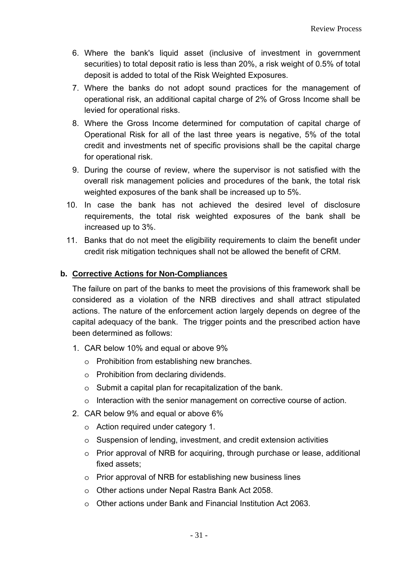- 6. Where the bank's liquid asset (inclusive of investment in government securities) to total deposit ratio is less than 20%, a risk weight of 0.5% of total deposit is added to total of the Risk Weighted Exposures.
- 7. Where the banks do not adopt sound practices for the management of operational risk, an additional capital charge of 2% of Gross Income shall be levied for operational risks.
- 8. Where the Gross Income determined for computation of capital charge of Operational Risk for all of the last three years is negative, 5% of the total credit and investments net of specific provisions shall be the capital charge for operational risk.
- 9. During the course of review, where the supervisor is not satisfied with the overall risk management policies and procedures of the bank, the total risk weighted exposures of the bank shall be increased up to 5%.
- 10. In case the bank has not achieved the desired level of disclosure requirements, the total risk weighted exposures of the bank shall be increased up to 3%.
- 11. Banks that do not meet the eligibility requirements to claim the benefit under credit risk mitigation techniques shall not be allowed the benefit of CRM.

### **b. Corrective Actions for Non-Compliances**

The failure on part of the banks to meet the provisions of this framework shall be considered as a violation of the NRB directives and shall attract stipulated actions. The nature of the enforcement action largely depends on degree of the capital adequacy of the bank. The trigger points and the prescribed action have been determined as follows:

- 1. CAR below 10% and equal or above 9%
	- o Prohibition from establishing new branches.
	- o Prohibition from declaring dividends.
	- o Submit a capital plan for recapitalization of the bank.
	- o Interaction with the senior management on corrective course of action.
- 2. CAR below 9% and equal or above 6%
	- o Action required under category 1.
	- o Suspension of lending, investment, and credit extension activities
	- o Prior approval of NRB for acquiring, through purchase or lease, additional fixed assets;
	- o Prior approval of NRB for establishing new business lines
	- o Other actions under Nepal Rastra Bank Act 2058.
	- o Other actions under Bank and Financial Institution Act 2063.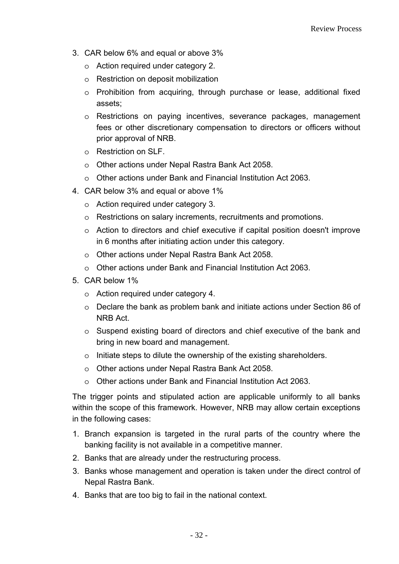- 3. CAR below 6% and equal or above 3%
	- o Action required under category 2.
	- o Restriction on deposit mobilization
	- o Prohibition from acquiring, through purchase or lease, additional fixed assets;
	- o Restrictions on paying incentives, severance packages, management fees or other discretionary compensation to directors or officers without prior approval of NRB.
	- o Restriction on SLF.
	- o Other actions under Nepal Rastra Bank Act 2058.
	- o Other actions under Bank and Financial Institution Act 2063.
- 4. CAR below 3% and equal or above 1%
	- o Action required under category 3.
	- o Restrictions on salary increments, recruitments and promotions.
	- o Action to directors and chief executive if capital position doesn't improve in 6 months after initiating action under this category.
	- o Other actions under Nepal Rastra Bank Act 2058.
	- o Other actions under Bank and Financial Institution Act 2063.
- 5. CAR below 1%
	- o Action required under category 4.
	- o Declare the bank as problem bank and initiate actions under Section 86 of NRB Act.
	- o Suspend existing board of directors and chief executive of the bank and bring in new board and management.
	- o Initiate steps to dilute the ownership of the existing shareholders.
	- o Other actions under Nepal Rastra Bank Act 2058.
	- o Other actions under Bank and Financial Institution Act 2063.

The trigger points and stipulated action are applicable uniformly to all banks within the scope of this framework. However, NRB may allow certain exceptions in the following cases:

- 1. Branch expansion is targeted in the rural parts of the country where the banking facility is not available in a competitive manner.
- 2. Banks that are already under the restructuring process.
- 3. Banks whose management and operation is taken under the direct control of Nepal Rastra Bank.
- 4. Banks that are too big to fail in the national context.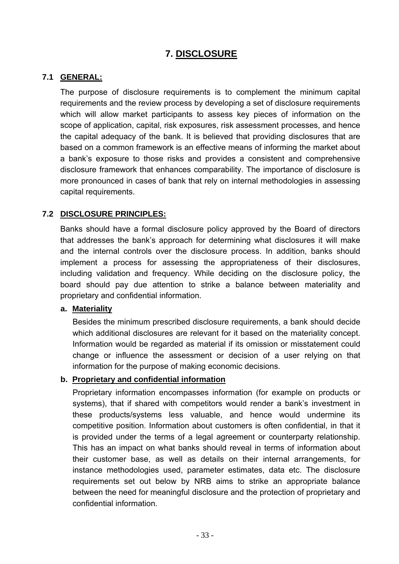# **7. DISCLOSURE**

### **7.1 GENERAL:**

The purpose of disclosure requirements is to complement the minimum capital requirements and the review process by developing a set of disclosure requirements which will allow market participants to assess key pieces of information on the scope of application, capital, risk exposures, risk assessment processes, and hence the capital adequacy of the bank. It is believed that providing disclosures that are based on a common framework is an effective means of informing the market about a bank's exposure to those risks and provides a consistent and comprehensive disclosure framework that enhances comparability. The importance of disclosure is more pronounced in cases of bank that rely on internal methodologies in assessing capital requirements.

### **7.2 DISCLOSURE PRINCIPLES:**

Banks should have a formal disclosure policy approved by the Board of directors that addresses the bank's approach for determining what disclosures it will make and the internal controls over the disclosure process. In addition, banks should implement a process for assessing the appropriateness of their disclosures, including validation and frequency. While deciding on the disclosure policy, the board should pay due attention to strike a balance between materiality and proprietary and confidential information.

### **a. Materiality**

Besides the minimum prescribed disclosure requirements, a bank should decide which additional disclosures are relevant for it based on the materiality concept. Information would be regarded as material if its omission or misstatement could change or influence the assessment or decision of a user relying on that information for the purpose of making economic decisions.

### **b. Proprietary and confidential information**

Proprietary information encompasses information (for example on products or systems), that if shared with competitors would render a bank's investment in these products/systems less valuable, and hence would undermine its competitive position. Information about customers is often confidential, in that it is provided under the terms of a legal agreement or counterparty relationship. This has an impact on what banks should reveal in terms of information about their customer base, as well as details on their internal arrangements, for instance methodologies used, parameter estimates, data etc. The disclosure requirements set out below by NRB aims to strike an appropriate balance between the need for meaningful disclosure and the protection of proprietary and confidential information.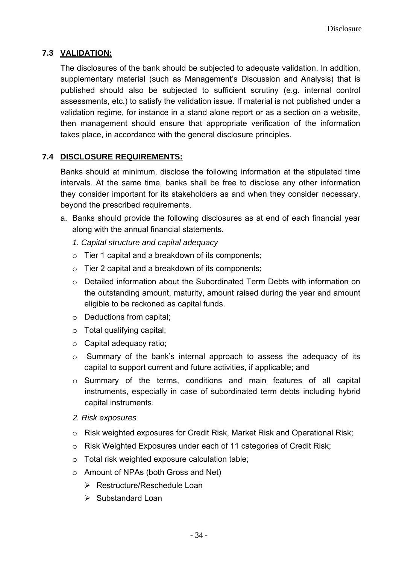### **7.3 VALIDATION:**

The disclosures of the bank should be subjected to adequate validation. In addition, supplementary material (such as Management's Discussion and Analysis) that is published should also be subjected to sufficient scrutiny (e.g. internal control assessments, etc.) to satisfy the validation issue. If material is not published under a validation regime, for instance in a stand alone report or as a section on a website, then management should ensure that appropriate verification of the information takes place, in accordance with the general disclosure principles.

### **7.4 DISCLOSURE REQUIREMENTS:**

Banks should at minimum, disclose the following information at the stipulated time intervals. At the same time, banks shall be free to disclose any other information they consider important for its stakeholders as and when they consider necessary, beyond the prescribed requirements.

- a. Banks should provide the following disclosures as at end of each financial year along with the annual financial statements.
	- *1. Capital structure and capital adequacy*
	- o Tier 1 capital and a breakdown of its components;
	- o Tier 2 capital and a breakdown of its components;
	- o Detailed information about the Subordinated Term Debts with information on the outstanding amount, maturity, amount raised during the year and amount eligible to be reckoned as capital funds.
	- o Deductions from capital;
	- o Total qualifying capital;
	- o Capital adequacy ratio;
	- o Summary of the bank's internal approach to assess the adequacy of its capital to support current and future activities, if applicable; and
	- o Summary of the terms, conditions and main features of all capital instruments, especially in case of subordinated term debts including hybrid capital instruments.
	- *2. Risk exposures*
	- o Risk weighted exposures for Credit Risk, Market Risk and Operational Risk;
	- o Risk Weighted Exposures under each of 11 categories of Credit Risk;
	- o Total risk weighted exposure calculation table;
	- o Amount of NPAs (both Gross and Net)
		- ¾ Restructure/Reschedule Loan
		- $\triangleright$  Substandard Loan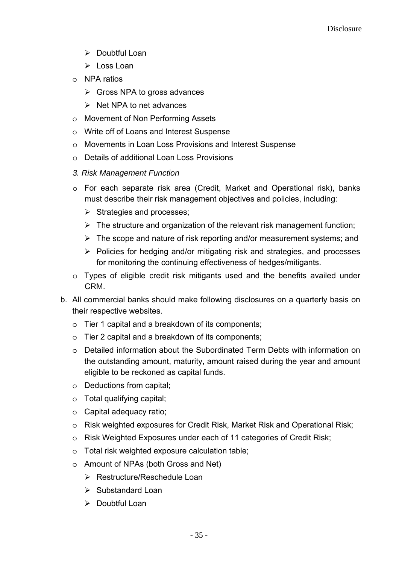- $\triangleright$  Doubtful Loan
- $\triangleright$  Loss Loan
- o NPA ratios
	- $\triangleright$  Gross NPA to gross advances
	- $\triangleright$  Net NPA to net advances
- o Movement of Non Performing Assets
- o Write off of Loans and Interest Suspense
- o Movements in Loan Loss Provisions and Interest Suspense
- o Details of additional Loan Loss Provisions
- *3. Risk Management Function*
- o For each separate risk area (Credit, Market and Operational risk), banks must describe their risk management objectives and policies, including:
	- $\triangleright$  Strategies and processes;
	- $\triangleright$  The structure and organization of the relevant risk management function;
	- $\triangleright$  The scope and nature of risk reporting and/or measurement systems; and
	- $\triangleright$  Policies for hedging and/or mitigating risk and strategies, and processes for monitoring the continuing effectiveness of hedges/mitigants.
- o Types of eligible credit risk mitigants used and the benefits availed under CRM.
- b. All commercial banks should make following disclosures on a quarterly basis on their respective websites.
	- o Tier 1 capital and a breakdown of its components;
	- o Tier 2 capital and a breakdown of its components;
	- $\circ$  Detailed information about the Subordinated Term Debts with information on the outstanding amount, maturity, amount raised during the year and amount eligible to be reckoned as capital funds.
	- o Deductions from capital;
	- o Total qualifying capital;
	- o Capital adequacy ratio;
	- o Risk weighted exposures for Credit Risk, Market Risk and Operational Risk;
	- o Risk Weighted Exposures under each of 11 categories of Credit Risk;
	- o Total risk weighted exposure calculation table;
	- o Amount of NPAs (both Gross and Net)
		- ¾ Restructure/Reschedule Loan
		- $\triangleright$  Substandard Loan
		- $\triangleright$  Doubtful Loan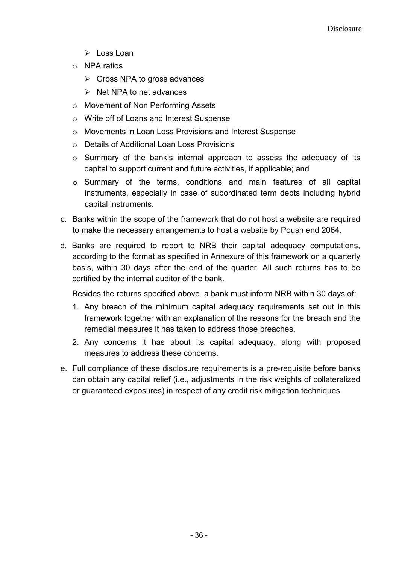- $\triangleright$  Loss Loan
- o NPA ratios
	- $\triangleright$  Gross NPA to gross advances
	- $\triangleright$  Net NPA to net advances
- o Movement of Non Performing Assets
- o Write off of Loans and Interest Suspense
- o Movements in Loan Loss Provisions and Interest Suspense
- o Details of Additional Loan Loss Provisions
- o Summary of the bank's internal approach to assess the adequacy of its capital to support current and future activities, if applicable; and
- o Summary of the terms, conditions and main features of all capital instruments, especially in case of subordinated term debts including hybrid capital instruments.
- c. Banks within the scope of the framework that do not host a website are required to make the necessary arrangements to host a website by Poush end 2064.
- d. Banks are required to report to NRB their capital adequacy computations, according to the format as specified in Annexure of this framework on a quarterly basis, within 30 days after the end of the quarter. All such returns has to be certified by the internal auditor of the bank.

Besides the returns specified above, a bank must inform NRB within 30 days of:

- 1. Any breach of the minimum capital adequacy requirements set out in this framework together with an explanation of the reasons for the breach and the remedial measures it has taken to address those breaches.
- 2. Any concerns it has about its capital adequacy, along with proposed measures to address these concerns.
- e. Full compliance of these disclosure requirements is a pre-requisite before banks can obtain any capital relief (i.e., adjustments in the risk weights of collateralized or guaranteed exposures) in respect of any credit risk mitigation techniques.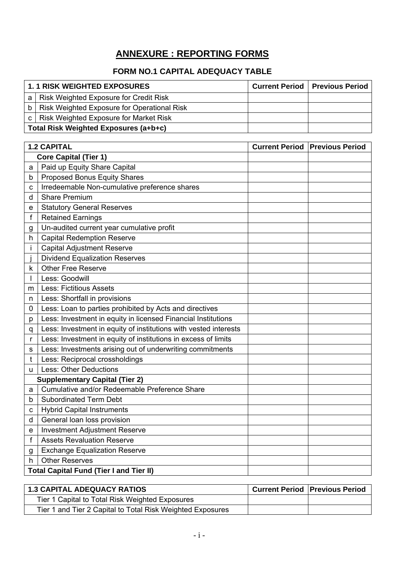# **ANNEXURE : REPORTING FORMS**

# **FORM NO.1 CAPITAL ADEQUACY TABLE**

| <b>1. 1 RISK WEIGHTED EXPOSURES</b> |                                                 | <b>Current Period   Previous Period  </b> |
|-------------------------------------|-------------------------------------------------|-------------------------------------------|
|                                     | a   Risk Weighted Exposure for Credit Risk      |                                           |
|                                     | b   Risk Weighted Exposure for Operational Risk |                                           |
|                                     | c   Risk Weighted Exposure for Market Risk      |                                           |
|                                     | Total Risk Weighted Exposures (a+b+c)           |                                           |

|             | <b>1.2 CAPITAL</b>                                               | <b>Current Period Previous Period</b> |
|-------------|------------------------------------------------------------------|---------------------------------------|
|             | <b>Core Capital (Tier 1)</b>                                     |                                       |
| a           | Paid up Equity Share Capital                                     |                                       |
| b           | <b>Proposed Bonus Equity Shares</b>                              |                                       |
| C           | Irredeemable Non-cumulative preference shares                    |                                       |
| d           | <b>Share Premium</b>                                             |                                       |
| e           | <b>Statutory General Reserves</b>                                |                                       |
| f           | <b>Retained Earnings</b>                                         |                                       |
| g           | Un-audited current year cumulative profit                        |                                       |
| h           | <b>Capital Redemption Reserve</b>                                |                                       |
| İ           | <b>Capital Adjustment Reserve</b>                                |                                       |
|             | <b>Dividend Equalization Reserves</b>                            |                                       |
| k           | <b>Other Free Reserve</b>                                        |                                       |
|             | Less: Goodwill                                                   |                                       |
| m           | <b>Less: Fictitious Assets</b>                                   |                                       |
| n           | Less: Shortfall in provisions                                    |                                       |
| 0           | Less: Loan to parties prohibited by Acts and directives          |                                       |
| р           | Less: Investment in equity in licensed Financial Institutions    |                                       |
| q           | Less: Investment in equity of institutions with vested interests |                                       |
| r           | Less: Investment in equity of institutions in excess of limits   |                                       |
| s           | Less: Investments arising out of underwriting commitments        |                                       |
| t           | Less: Reciprocal crossholdings                                   |                                       |
| u           | <b>Less: Other Deductions</b>                                    |                                       |
|             | <b>Supplementary Capital (Tier 2)</b>                            |                                       |
| а           | Cumulative and/or Redeemable Preference Share                    |                                       |
| b           | <b>Subordinated Term Debt</b>                                    |                                       |
| С           | <b>Hybrid Capital Instruments</b>                                |                                       |
| d           | General loan loss provision                                      |                                       |
| е           | <b>Investment Adjustment Reserve</b>                             |                                       |
| $\mathsf f$ | <b>Assets Revaluation Reserve</b>                                |                                       |
| g           | <b>Exchange Equalization Reserve</b>                             |                                       |
| h           | <b>Other Reserves</b>                                            |                                       |
|             | <b>Total Capital Fund (Tier I and Tier II)</b>                   |                                       |

| <b>1.3 CAPITAL ADEQUACY RATIOS</b>                         | <b>Current Period Previous Period</b> |
|------------------------------------------------------------|---------------------------------------|
| Tier 1 Capital to Total Risk Weighted Exposures            |                                       |
| Tier 1 and Tier 2 Capital to Total Risk Weighted Exposures |                                       |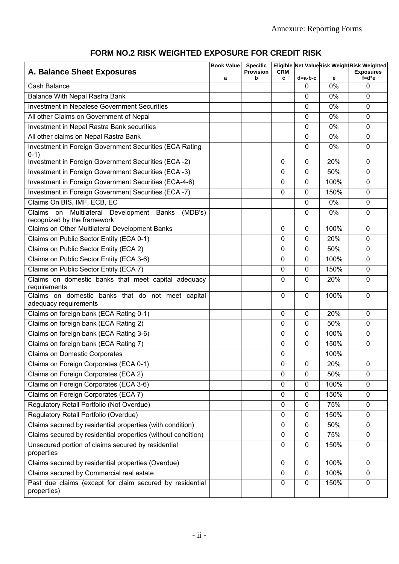| <b>Book Value</b><br><b>Specific</b><br>A. Balance Sheet Exposures<br><b>Provision</b><br><b>CRM</b> |   |   |              | Eligible Net ValueRisk WeightRisk Weighted<br><b>Exposures</b> |       |              |  |
|------------------------------------------------------------------------------------------------------|---|---|--------------|----------------------------------------------------------------|-------|--------------|--|
|                                                                                                      | a | b | C.           | $d=a-b-c$                                                      | е     | $f = d^*e$   |  |
| Cash Balance                                                                                         |   |   |              | $\Omega$                                                       | $0\%$ | $\mathbf 0$  |  |
| <b>Balance With Nepal Rastra Bank</b>                                                                |   |   |              | $\Omega$                                                       | 0%    | 0            |  |
| Investment in Nepalese Government Securities                                                         |   |   |              | $\mathbf 0$                                                    | 0%    | $\mathbf{0}$ |  |
| All other Claims on Government of Nepal                                                              |   |   |              | $\mathbf 0$                                                    | 0%    | $\mathbf 0$  |  |
| Investment in Nepal Rastra Bank securities                                                           |   |   |              | $\mathbf 0$                                                    | 0%    | 0            |  |
| All other claims on Nepal Rastra Bank                                                                |   |   |              | $\mathbf 0$                                                    | 0%    | $\mathbf 0$  |  |
| Investment in Foreign Government Securities (ECA Rating<br>$0-1)$                                    |   |   |              | $\Omega$                                                       | 0%    | $\mathbf 0$  |  |
| Investment in Foreign Government Securities (ECA -2)                                                 |   |   | $\mathbf 0$  | $\mathbf 0$                                                    | 20%   | $\mathbf 0$  |  |
| Investment in Foreign Government Securities (ECA -3)                                                 |   |   | 0            | $\mathbf 0$                                                    | 50%   | $\mathbf 0$  |  |
| Investment in Foreign Government Securities (ECA-4-6)                                                |   |   | 0            | $\mathbf 0$                                                    | 100%  | $\mathbf 0$  |  |
| Investment in Foreign Government Securities (ECA -7)                                                 |   |   | $\mathbf 0$  | 0                                                              | 150%  | $\mathbf 0$  |  |
| Claims On BIS, IMF, ECB, EC                                                                          |   |   |              | $\mathbf 0$                                                    | 0%    | 0            |  |
| Multilateral Development Banks<br>Claims<br>(MDB's)<br>on<br>recognized by the framework             |   |   |              | $\mathbf{0}$                                                   | 0%    | $\mathbf 0$  |  |
| Claims on Other Multilateral Development Banks                                                       |   |   | $\mathbf{0}$ | $\mathbf{0}$                                                   | 100%  | 0            |  |
| Claims on Public Sector Entity (ECA 0-1)                                                             |   |   | $\Omega$     | $\mathbf 0$                                                    | 20%   | $\mathbf{0}$ |  |
| Claims on Public Sector Entity (ECA 2)                                                               |   |   | 0            | $\mathbf 0$                                                    | 50%   | $\mathbf 0$  |  |
| Claims on Public Sector Entity (ECA 3-6)                                                             |   |   | 0            | 0                                                              | 100%  | $\mathbf 0$  |  |
| Claims on Public Sector Entity (ECA 7)                                                               |   |   | 0            | $\mathbf 0$                                                    | 150%  | $\pmb{0}$    |  |
| Claims on domestic banks that meet capital adequacy<br>requirements                                  |   |   | $\Omega$     | $\mathbf{0}$                                                   | 20%   | $\mathbf 0$  |  |
| Claims on domestic banks that do not meet capital<br>adequacy requirements                           |   |   | $\Omega$     | $\Omega$                                                       | 100%  | $\mathbf 0$  |  |
| Claims on foreign bank (ECA Rating 0-1)                                                              |   |   | $\mathbf 0$  | $\mathbf 0$                                                    | 20%   | 0            |  |
| Claims on foreign bank (ECA Rating 2)                                                                |   |   | $\Omega$     | $\mathbf 0$                                                    | 50%   | $\mathbf 0$  |  |
| Claims on foreign bank (ECA Rating 3-6)                                                              |   |   | 0            | $\mathbf 0$                                                    | 100%  | $\mathbf 0$  |  |
| Claims on foreign bank (ECA Rating 7)                                                                |   |   | $\mathbf 0$  | $\mathbf 0$                                                    | 150%  | $\mathbf 0$  |  |
| <b>Claims on Domestic Corporates</b>                                                                 |   |   | 0            |                                                                | 100%  |              |  |
| Claims on Foreign Corporates (ECA 0-1)                                                               |   |   | 0            | 0                                                              | 20%   | 0            |  |
| Claims on Foreign Corporates (ECA 2)                                                                 |   |   | $\mathbf{0}$ | 0                                                              | 50%   | 0            |  |
| Claims on Foreign Corporates (ECA 3-6)                                                               |   |   | 0            | $\mathbf 0$                                                    | 100%  | $\mathbf 0$  |  |
| Claims on Foreign Corporates (ECA 7)                                                                 |   |   | $\mathbf 0$  | $\mathbf 0$                                                    | 150%  | $\mathbf 0$  |  |
| Regulatory Retail Portfolio (Not Overdue)                                                            |   |   | 0            | $\mathbf 0$                                                    | 75%   | $\mathbf 0$  |  |
| Regulatory Retail Portfolio (Overdue)                                                                |   |   | $\mathbf 0$  | $\mathbf 0$                                                    | 150%  | 0            |  |
| Claims secured by residential properties (with condition)                                            |   |   | 0            | 0                                                              | 50%   | $\mathbf 0$  |  |
| Claims secured by residential properties (without condition)                                         |   |   | $\mathbf 0$  | $\mathbf 0$                                                    | 75%   | $\mathsf 0$  |  |
| Unsecured portion of claims secured by residential<br>properties                                     |   |   | $\mathbf 0$  | $\mathbf 0$                                                    | 150%  | $\mathbf 0$  |  |
| Claims secured by residential properties (Overdue)                                                   |   |   | $\mathbf 0$  | $\mathbf 0$                                                    | 100%  | $\mathbf 0$  |  |
| Claims secured by Commercial real estate                                                             |   |   | $\mathbf 0$  | $\mathbf 0$                                                    | 100%  | $\mathbf 0$  |  |
| Past due claims (except for claim secured by residential<br>properties)                              |   |   | 0            | $\pmb{0}$                                                      | 150%  | $\mathsf 0$  |  |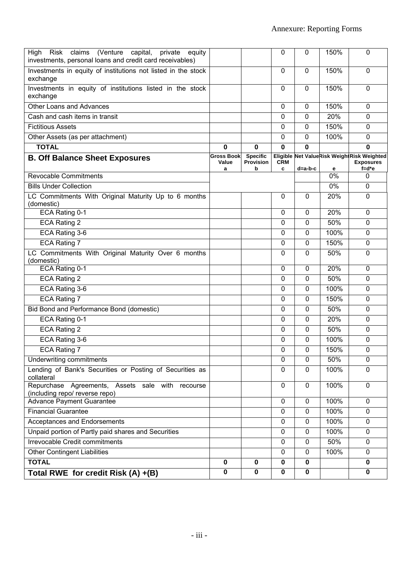| Risk claims (Venture capital,<br>High<br>private<br>equity<br>investments, personal loans and credit card receivables) |                   |                       | 0               | 0           | 150% | 0                                          |
|------------------------------------------------------------------------------------------------------------------------|-------------------|-----------------------|-----------------|-------------|------|--------------------------------------------|
| Investments in equity of institutions not listed in the stock<br>exchange                                              |                   |                       | $\Omega$        | $\Omega$    | 150% | 0                                          |
| Investments in equity of institutions listed in the stock<br>exchange                                                  |                   |                       | $\mathbf 0$     | $\mathbf 0$ | 150% | 0                                          |
| <b>Other Loans and Advances</b>                                                                                        |                   |                       | $\Omega$        | $\Omega$    | 150% | $\Omega$                                   |
| Cash and cash items in transit                                                                                         |                   |                       | $\Omega$        | 0           | 20%  | 0                                          |
| <b>Fictitious Assets</b>                                                                                               |                   |                       | $\Omega$        | 0           | 150% | 0                                          |
| Other Assets (as per attachment)                                                                                       |                   |                       | $\mathbf{0}$    | 0           | 100% | 0                                          |
| <b>TOTAL</b>                                                                                                           | $\bf{0}$          | $\bf{0}$              | $\bf{0}$        | 0           |      | 0                                          |
| <b>B. Off Balance Sheet Exposures</b>                                                                                  | <b>Gross Book</b> | <b>Specific</b>       |                 |             |      | Eligible Net ValueRisk WeightRisk Weighted |
|                                                                                                                        | Value<br>a        | <b>Provision</b><br>b | <b>CRM</b><br>c | d=a-b-c     | е    | <b>Exposures</b><br>$f = d^*e$             |
| <b>Revocable Commitments</b>                                                                                           |                   |                       |                 |             | 0%   | $\mathbf{0}$                               |
| <b>Bills Under Collection</b>                                                                                          |                   |                       |                 |             | 0%   | 0                                          |
| LC Commitments With Original Maturity Up to 6 months<br>(domestic)                                                     |                   |                       | 0               | 0           | 20%  | 0                                          |
| ECA Rating 0-1                                                                                                         |                   |                       | 0               | 0           | 20%  | 0                                          |
| <b>ECA Rating 2</b>                                                                                                    |                   |                       | 0               | $\Omega$    | 50%  | $\mathbf{0}$                               |
| ECA Rating 3-6                                                                                                         |                   |                       | 0               | 0           | 100% | 0                                          |
| <b>ECA Rating 7</b>                                                                                                    |                   |                       | 0               | 0           | 150% | 0                                          |
| LC Commitments With Original Maturity Over 6 months<br>(domestic)                                                      |                   |                       | 0               | $\Omega$    | 50%  | 0                                          |
| ECA Rating 0-1                                                                                                         |                   |                       | $\Omega$        | $\Omega$    | 20%  | $\mathbf{0}$                               |
| <b>ECA Rating 2</b>                                                                                                    |                   |                       | $\Omega$        | $\Omega$    | 50%  | 0                                          |
| ECA Rating 3-6                                                                                                         |                   |                       | 0               | 0           | 100% | 0                                          |
| ECA Rating 7                                                                                                           |                   |                       | $\Omega$        | 0           | 150% | 0                                          |
| <b>Bid Bond and Performance Bond (domestic)</b>                                                                        |                   |                       | 0               | 0           | 50%  | 0                                          |
| ECA Rating 0-1                                                                                                         |                   |                       | $\Omega$        | 0           | 20%  | 0                                          |
| ECA Rating 2                                                                                                           |                   |                       | 0               | $\mathbf 0$ | 50%  | 0                                          |
| ECA Rating 3-6                                                                                                         |                   |                       | $\Omega$        | $\Omega$    | 100% | 0                                          |
| <b>ECA Rating 7</b>                                                                                                    |                   |                       | 0               | 0           | 150% | 0                                          |
| <b>Underwriting commitments</b>                                                                                        |                   |                       | $\Omega$        | $\mathbf 0$ | 50%  | 0                                          |
| Lending of Bank's Securities or Posting of Securities as<br>collateral                                                 |                   |                       | 0               | 0           | 100% | 0                                          |
| Repurchase Agreements, Assets sale with recourse<br>(including repo/ reverse repo)                                     |                   |                       | 0               | $\mathbf 0$ | 100% | 0                                          |
| <b>Advance Payment Guarantee</b>                                                                                       |                   |                       | $\mathbf{0}$    | $\mathbf 0$ | 100% | 0                                          |
| <b>Financial Guarantee</b>                                                                                             |                   |                       | $\Omega$        | $\mathbf 0$ | 100% | $\mathbf 0$                                |
| Acceptances and Endorsements                                                                                           |                   |                       | 0               | 0           | 100% | $\mathbf 0$                                |
| Unpaid portion of Partly paid shares and Securities                                                                    |                   |                       | 0               | 0           | 100% | $\mathbf 0$                                |
| Irrevocable Credit commitments                                                                                         |                   |                       | 0               | $\mathbf 0$ | 50%  | $\mathbf 0$                                |
| <b>Other Contingent Liabilities</b>                                                                                    |                   |                       | $\mathbf{0}$    | $\mathbf 0$ | 100% | $\mathbf 0$                                |
| <b>TOTAL</b>                                                                                                           | 0                 | $\bf{0}$              | $\mathbf 0$     | $\mathbf 0$ |      | $\mathbf 0$                                |
| Total RWE for credit Risk (A) +(B)                                                                                     | $\mathbf 0$       | $\mathbf 0$           | $\mathbf 0$     | $\mathbf 0$ |      | $\mathbf 0$                                |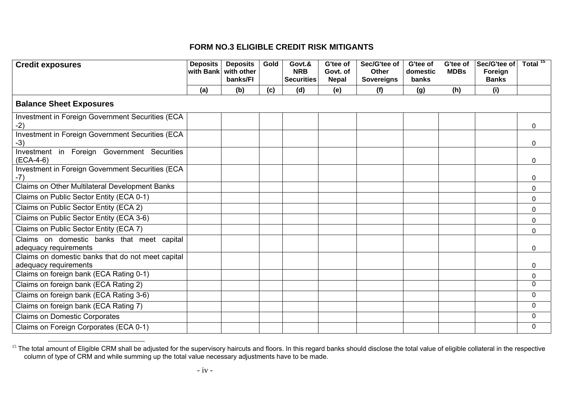### **FORM NO.3 ELIGIBLE CREDIT RISK MITIGANTS**

| <b>Credit exposures</b>                                                    | <b>Deposits</b><br>with Bank | <b>Deposits</b><br>with other<br>banks/FI | Gold | Govt.&<br><b>NRB</b><br><b>Securities</b> | G'tee of<br>Govt. of<br><b>Nepal</b> | Sec/G'tee of<br><b>Other</b><br><b>Sovereigns</b> | G'tee of<br>domestic<br>banks | G'tee of<br><b>MDBs</b> | Sec/G'tee of<br>Foreign<br><b>Banks</b> | Total $15$  |
|----------------------------------------------------------------------------|------------------------------|-------------------------------------------|------|-------------------------------------------|--------------------------------------|---------------------------------------------------|-------------------------------|-------------------------|-----------------------------------------|-------------|
|                                                                            | (a)                          | (b)                                       | (c)  | (d)                                       | (e)                                  | (f)                                               | (g)                           | (h)                     | (i)                                     |             |
| <b>Balance Sheet Exposures</b>                                             |                              |                                           |      |                                           |                                      |                                                   |                               |                         |                                         |             |
| Investment in Foreign Government Securities (ECA<br>$-2)$                  |                              |                                           |      |                                           |                                      |                                                   |                               |                         |                                         | 0           |
| Investment in Foreign Government Securities (ECA<br>$-3)$                  |                              |                                           |      |                                           |                                      |                                                   |                               |                         |                                         | 0           |
| Investment in Foreign Government Securities<br>$(ECA-4-6)$                 |                              |                                           |      |                                           |                                      |                                                   |                               |                         |                                         | 0           |
| Investment in Foreign Government Securities (ECA<br>$-7)$                  |                              |                                           |      |                                           |                                      |                                                   |                               |                         |                                         | 0           |
| Claims on Other Multilateral Development Banks                             |                              |                                           |      |                                           |                                      |                                                   |                               |                         |                                         | 0           |
| Claims on Public Sector Entity (ECA 0-1)                                   |                              |                                           |      |                                           |                                      |                                                   |                               |                         |                                         | 0           |
| Claims on Public Sector Entity (ECA 2)                                     |                              |                                           |      |                                           |                                      |                                                   |                               |                         |                                         | 0           |
| Claims on Public Sector Entity (ECA 3-6)                                   |                              |                                           |      |                                           |                                      |                                                   |                               |                         |                                         | 0           |
| Claims on Public Sector Entity (ECA 7)                                     |                              |                                           |      |                                           |                                      |                                                   |                               |                         |                                         | 0           |
| Claims on domestic banks that meet capital<br>adequacy requirements        |                              |                                           |      |                                           |                                      |                                                   |                               |                         |                                         | 0           |
| Claims on domestic banks that do not meet capital<br>adequacy requirements |                              |                                           |      |                                           |                                      |                                                   |                               |                         |                                         | 0           |
| Claims on foreign bank (ECA Rating 0-1)                                    |                              |                                           |      |                                           |                                      |                                                   |                               |                         |                                         | 0           |
| Claims on foreign bank (ECA Rating 2)                                      |                              |                                           |      |                                           |                                      |                                                   |                               |                         |                                         | $\mathbf 0$ |
| Claims on foreign bank (ECA Rating 3-6)                                    |                              |                                           |      |                                           |                                      |                                                   |                               |                         |                                         | 0           |
| Claims on foreign bank (ECA Rating 7)                                      |                              |                                           |      |                                           |                                      |                                                   |                               |                         |                                         | $\mathbf 0$ |
| <b>Claims on Domestic Corporates</b>                                       |                              |                                           |      |                                           |                                      |                                                   |                               |                         |                                         | 0           |
| Claims on Foreign Corporates (ECA 0-1)                                     |                              |                                           |      |                                           |                                      |                                                   |                               |                         |                                         | 0           |

<span id="page-44-0"></span><sup>&</sup>lt;sup>15</sup> The total amount of Eligible CRM shall be adjusted for the supervisory haircuts and floors. In this regard banks should disclose the total value of eligible collateral in the respective column of type of CRM and while summing up the total value necessary adjustments have to be made.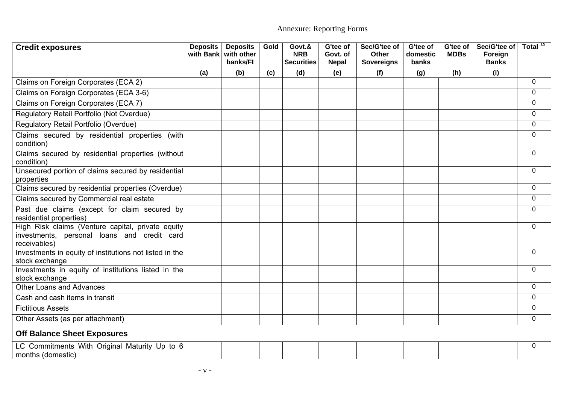Annexure: Reporting Forms

| <b>Credit exposures</b>                                                                                          | <b>Deposits</b> | <b>Deposits</b><br>with Bank with other<br>banks/FI | Gold | Govt.&<br><b>NRB</b><br><b>Securities</b> | G'tee of<br>Govt. of<br><b>Nepal</b> | Sec/G'tee of<br>Other<br><b>Sovereigns</b> | G'tee of<br>domestic<br>banks | G'tee of<br><b>MDBs</b> | Sec/G'tee of<br>Foreign<br><b>Banks</b> | Total $15$   |
|------------------------------------------------------------------------------------------------------------------|-----------------|-----------------------------------------------------|------|-------------------------------------------|--------------------------------------|--------------------------------------------|-------------------------------|-------------------------|-----------------------------------------|--------------|
|                                                                                                                  | (a)             | (b)                                                 | (c)  | (d)                                       | (e)                                  | (f)                                        | (g)                           | (h)                     | (i)                                     |              |
| Claims on Foreign Corporates (ECA 2)                                                                             |                 |                                                     |      |                                           |                                      |                                            |                               |                         |                                         | $\mathbf 0$  |
| Claims on Foreign Corporates (ECA 3-6)                                                                           |                 |                                                     |      |                                           |                                      |                                            |                               |                         |                                         | $\mathbf 0$  |
| Claims on Foreign Corporates (ECA 7)                                                                             |                 |                                                     |      |                                           |                                      |                                            |                               |                         |                                         | $\mathbf 0$  |
| Regulatory Retail Portfolio (Not Overdue)                                                                        |                 |                                                     |      |                                           |                                      |                                            |                               |                         |                                         | $\mathbf 0$  |
| Regulatory Retail Portfolio (Overdue)                                                                            |                 |                                                     |      |                                           |                                      |                                            |                               |                         |                                         | $\mathbf 0$  |
| Claims secured by residential properties (with<br>condition)                                                     |                 |                                                     |      |                                           |                                      |                                            |                               |                         |                                         | $\mathbf 0$  |
| Claims secured by residential properties (without<br>condition)                                                  |                 |                                                     |      |                                           |                                      |                                            |                               |                         |                                         | 0            |
| Unsecured portion of claims secured by residential<br>properties                                                 |                 |                                                     |      |                                           |                                      |                                            |                               |                         |                                         | $\mathbf{0}$ |
| Claims secured by residential properties (Overdue)                                                               |                 |                                                     |      |                                           |                                      |                                            |                               |                         |                                         | $\mathbf{0}$ |
| Claims secured by Commercial real estate                                                                         |                 |                                                     |      |                                           |                                      |                                            |                               |                         |                                         | $\mathbf 0$  |
| Past due claims (except for claim secured by<br>residential properties)                                          |                 |                                                     |      |                                           |                                      |                                            |                               |                         |                                         | $\mathbf 0$  |
| High Risk claims (Venture capital, private equity<br>investments, personal loans and credit card<br>receivables) |                 |                                                     |      |                                           |                                      |                                            |                               |                         |                                         | $\Omega$     |
| Investments in equity of institutions not listed in the<br>stock exchange                                        |                 |                                                     |      |                                           |                                      |                                            |                               |                         |                                         | $\mathbf{0}$ |
| Investments in equity of institutions listed in the<br>stock exchange                                            |                 |                                                     |      |                                           |                                      |                                            |                               |                         |                                         | $\mathbf 0$  |
| Other Loans and Advances                                                                                         |                 |                                                     |      |                                           |                                      |                                            |                               |                         |                                         | $\mathbf 0$  |
| Cash and cash items in transit                                                                                   |                 |                                                     |      |                                           |                                      |                                            |                               |                         |                                         | 0            |
| <b>Fictitious Assets</b>                                                                                         |                 |                                                     |      |                                           |                                      |                                            |                               |                         |                                         | $\mathbf 0$  |
| Other Assets (as per attachment)                                                                                 |                 |                                                     |      |                                           |                                      |                                            |                               |                         |                                         | 0            |
| <b>Off Balance Sheet Exposures</b>                                                                               |                 |                                                     |      |                                           |                                      |                                            |                               |                         |                                         |              |
| LC Commitments With Original Maturity Up to 6<br>months (domestic)                                               |                 |                                                     |      |                                           |                                      |                                            |                               |                         |                                         | $\mathbf 0$  |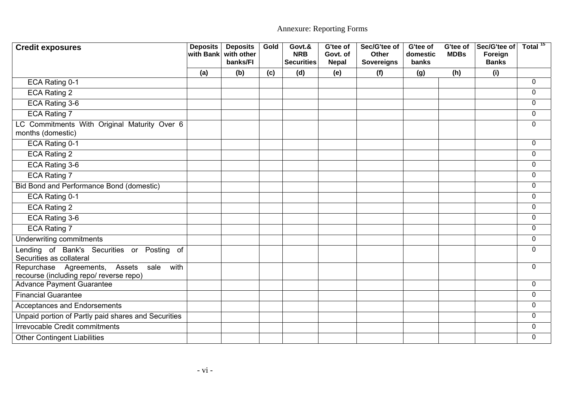Annexure: Reporting Forms

| <b>Credit exposures</b>                                                            | <b>Deposits</b><br>with Bank | <b>Deposits</b><br>with other<br>banks/FI | Gold | Govt.&<br><b>NRB</b><br><b>Securities</b> | G'tee of<br>Govt. of<br><b>Nepal</b> | Sec/G'tee of<br>Other<br><b>Sovereigns</b> | G'tee of<br>domestic<br>banks | G'tee of<br><b>MDBs</b> | Sec/G'tee of<br>Foreign<br><b>Banks</b> | Total $15$   |
|------------------------------------------------------------------------------------|------------------------------|-------------------------------------------|------|-------------------------------------------|--------------------------------------|--------------------------------------------|-------------------------------|-------------------------|-----------------------------------------|--------------|
|                                                                                    | (a)                          | (b)                                       | (c)  | (d)                                       | (e)                                  | (f)                                        | (g)                           | (h)                     | (i)                                     |              |
| ECA Rating 0-1                                                                     |                              |                                           |      |                                           |                                      |                                            |                               |                         |                                         | $\mathbf 0$  |
| <b>ECA Rating 2</b>                                                                |                              |                                           |      |                                           |                                      |                                            |                               |                         |                                         | $\mathbf 0$  |
| ECA Rating 3-6                                                                     |                              |                                           |      |                                           |                                      |                                            |                               |                         |                                         | $\mathbf 0$  |
| <b>ECA Rating 7</b>                                                                |                              |                                           |      |                                           |                                      |                                            |                               |                         |                                         | $\mathbf 0$  |
| LC Commitments With Original Maturity Over 6<br>months (domestic)                  |                              |                                           |      |                                           |                                      |                                            |                               |                         |                                         | 0            |
| ECA Rating 0-1                                                                     |                              |                                           |      |                                           |                                      |                                            |                               |                         |                                         | $\mathbf{0}$ |
| <b>ECA Rating 2</b>                                                                |                              |                                           |      |                                           |                                      |                                            |                               |                         |                                         | $\mathbf 0$  |
| ECA Rating 3-6                                                                     |                              |                                           |      |                                           |                                      |                                            |                               |                         |                                         | $\mathbf 0$  |
| <b>ECA Rating 7</b>                                                                |                              |                                           |      |                                           |                                      |                                            |                               |                         |                                         | $\mathbf 0$  |
| Bid Bond and Performance Bond (domestic)                                           |                              |                                           |      |                                           |                                      |                                            |                               |                         |                                         | $\mathbf 0$  |
| ECA Rating 0-1                                                                     |                              |                                           |      |                                           |                                      |                                            |                               |                         |                                         | $\mathbf 0$  |
| <b>ECA Rating 2</b>                                                                |                              |                                           |      |                                           |                                      |                                            |                               |                         |                                         | $\mathbf 0$  |
| ECA Rating 3-6                                                                     |                              |                                           |      |                                           |                                      |                                            |                               |                         |                                         | $\mathbf 0$  |
| <b>ECA Rating 7</b>                                                                |                              |                                           |      |                                           |                                      |                                            |                               |                         |                                         | $\mathbf 0$  |
| <b>Underwriting commitments</b>                                                    |                              |                                           |      |                                           |                                      |                                            |                               |                         |                                         | $\mathbf 0$  |
| Lending of Bank's Securities or Posting of<br>Securities as collateral             |                              |                                           |      |                                           |                                      |                                            |                               |                         |                                         | $\mathbf 0$  |
| Repurchase Agreements, Assets sale with<br>recourse (including repo/ reverse repo) |                              |                                           |      |                                           |                                      |                                            |                               |                         |                                         | $\mathbf 0$  |
| <b>Advance Payment Guarantee</b>                                                   |                              |                                           |      |                                           |                                      |                                            |                               |                         |                                         | $\mathbf 0$  |
| <b>Financial Guarantee</b>                                                         |                              |                                           |      |                                           |                                      |                                            |                               |                         |                                         | $\mathbf 0$  |
| Acceptances and Endorsements                                                       |                              |                                           |      |                                           |                                      |                                            |                               |                         |                                         | $\mathbf 0$  |
| Unpaid portion of Partly paid shares and Securities                                |                              |                                           |      |                                           |                                      |                                            |                               |                         |                                         | $\mathbf 0$  |
| Irrevocable Credit commitments                                                     |                              |                                           |      |                                           |                                      |                                            |                               |                         |                                         | $\mathbf 0$  |
| <b>Other Contingent Liabilities</b>                                                |                              |                                           |      |                                           |                                      |                                            |                               |                         |                                         | $\mathbf 0$  |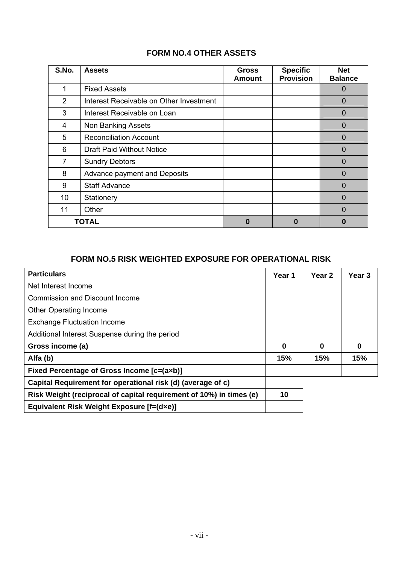# **FORM NO.4 OTHER ASSETS**

| S.No.          | <b>Assets</b>                           | <b>Gross</b><br>Amount | <b>Specific</b><br><b>Provision</b> | <b>Net</b><br><b>Balance</b> |
|----------------|-----------------------------------------|------------------------|-------------------------------------|------------------------------|
| $\mathbf 1$    | <b>Fixed Assets</b>                     |                        |                                     | 0                            |
| $\overline{2}$ | Interest Receivable on Other Investment |                        |                                     | $\Omega$                     |
| 3              | Interest Receivable on Loan             |                        |                                     | $\Omega$                     |
| 4              | Non Banking Assets                      |                        |                                     | $\Omega$                     |
| 5              | <b>Reconciliation Account</b>           |                        |                                     | 0                            |
| 6              | Draft Paid Without Notice               |                        |                                     | $\Omega$                     |
| $\overline{7}$ | <b>Sundry Debtors</b>                   |                        |                                     | $\Omega$                     |
| 8              | Advance payment and Deposits            |                        |                                     | $\Omega$                     |
| 9              | <b>Staff Advance</b>                    |                        |                                     | 0                            |
| 10             | Stationery                              |                        |                                     | $\Omega$                     |
| 11             | Other                                   |                        |                                     | $\Omega$                     |
|                | <b>TOTAL</b>                            | 0                      | 0                                   | O                            |

### **FORM NO.5 RISK WEIGHTED EXPOSURE FOR OPERATIONAL RISK**

| <b>Particulars</b>                                                  | Year 1   | <b>Year 2</b> | Year 3   |
|---------------------------------------------------------------------|----------|---------------|----------|
| Net Interest Income                                                 |          |               |          |
| Commission and Discount Income                                      |          |               |          |
| <b>Other Operating Income</b>                                       |          |               |          |
| <b>Exchange Fluctuation Income</b>                                  |          |               |          |
| Additional Interest Suspense during the period                      |          |               |          |
| Gross income (a)                                                    | $\bf{0}$ | 0             | $\bf{0}$ |
| Alfa (b)                                                            | 15%      | 15%           | 15%      |
| Fixed Percentage of Gross Income [c=(axb)]                          |          |               |          |
| Capital Requirement for operational risk (d) (average of c)         |          |               |          |
| Risk Weight (reciprocal of capital requirement of 10%) in times (e) | 10       |               |          |
| Equivalent Risk Weight Exposure [f=(dxe)]                           |          |               |          |